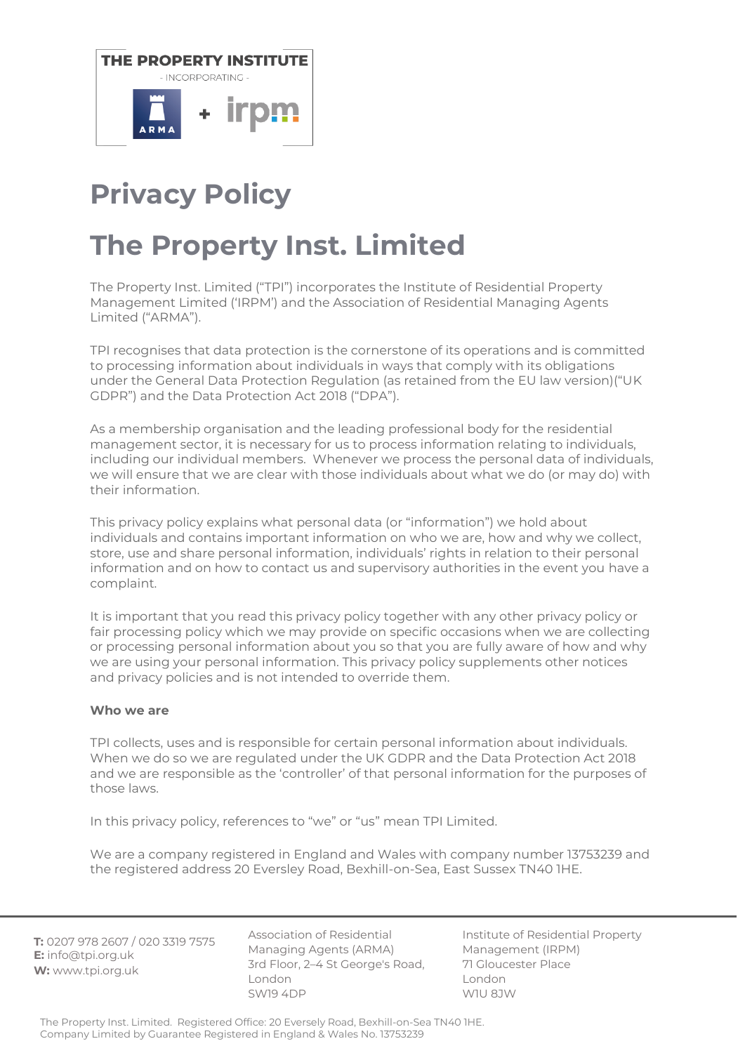

# **Privacy Policy**

# **The Property Inst. Limited**

The Property Inst. Limited ("TPI") incorporates the Institute of Residential Property Management Limited ('IRPM') and the Association of Residential Managing Agents Limited ("ARMA").

TPI recognises that data protection is the cornerstone of its operations and is committed to processing information about individuals in ways that comply with its obligations under the General Data Protection Regulation (as retained from the EU law version)("UK GDPR") and the Data Protection Act 2018 ("DPA").

As a membership organisation and the leading professional body for the residential management sector, it is necessary for us to process information relating to individuals, including our individual members. Whenever we process the personal data of individuals, we will ensure that we are clear with those individuals about what we do (or may do) with their information.

This privacy policy explains what personal data (or "information") we hold about individuals and contains important information on who we are, how and why we collect, store, use and share personal information, individuals' rights in relation to their personal information and on how to contact us and supervisory authorities in the event you have a complaint.

It is important that you read this privacy policy together with any other privacy policy or fair processing policy which we may provide on specific occasions when we are collecting or processing personal information about you so that you are fully aware of how and why we are using your personal information. This privacy policy supplements other notices and privacy policies and is not intended to override them.

## **Who we are**

TPI collects, uses and is responsible for certain personal information about individuals. When we do so we are regulated under the UK GDPR and the Data Protection Act 2018 and we are responsible as the 'controller' of that personal information for the purposes of those laws.

In this privacy policy, references to "we" or "us" mean TPI Limited.

We are a company registered in England and Wales with company number 13753239 and the registered address 20 Eversley Road, Bexhill-on-Sea, East Sussex TN40 1HE.

**T:** 0207 978 2607 / 020 3319 7575 **E:** info@tpi.org.uk **W:** www.tpi.org.uk

Association of Residential Managing Agents (ARMA) 3rd Floor, 2–4 St George's Road, London SW19 4DP

Institute of Residential Property Management (IRPM) 71 Gloucester Place London W1U 8JW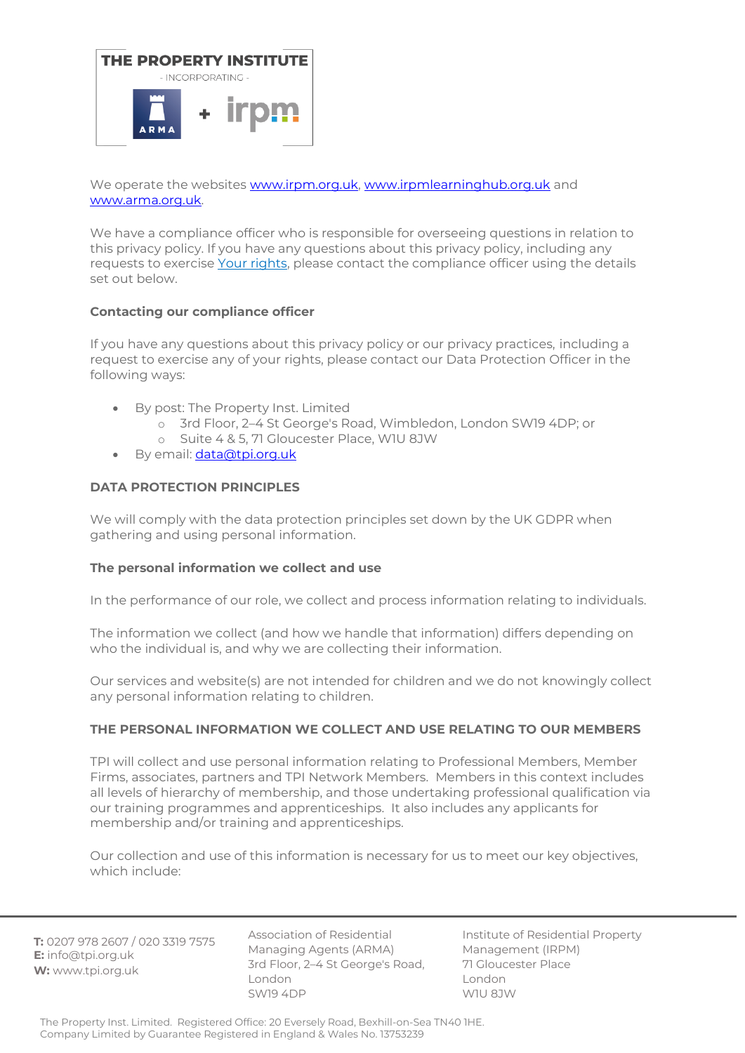

We operate the websites [www.irpm.org.uk,](http://www.irpm.org.uk/) [www.irpmlearninghub.org.uk](http://www.irpmlearninghub.org.uk/) and [www.arma.org.uk.](http://www.arma.org.uk/)

We have a compliance officer who is responsible for overseeing questions in relation to this privacy policy. If you have any questions about this privacy policy, including any requests to exercise Your rights, please contact the compliance officer using the details set out below.

## **Contacting our compliance officer**

If you have any questions about this privacy policy or our privacy practices, including a request to exercise any of your rights, please contact our Data Protection Officer in the following ways:

- By post: The Property Inst. Limited
	- o 3rd Floor, 2–4 St George's Road, Wimbledon, London SW19 4DP; or
	- o Suite 4 & 5, 71 Gloucester Place, W1U 8JW
- By email: [data@tpi.org.uk](mailto:data@tpi.org.uk)

# **DATA PROTECTION PRINCIPLES**

We will comply with the data protection principles set down by the UK GDPR when gathering and using personal information.

## **The personal information we collect and use**

In the performance of our role, we collect and process information relating to individuals.

The information we collect (and how we handle that information) differs depending on who the individual is, and why we are collecting their information.

Our services and website(s) are not intended for children and we do not knowingly collect any personal information relating to children.

## **THE PERSONAL INFORMATION WE COLLECT AND USE RELATING TO OUR MEMBERS**

TPI will collect and use personal information relating to Professional Members, Member Firms, associates, partners and TPI Network Members. Members in this context includes all levels of hierarchy of membership, and those undertaking professional qualification via our training programmes and apprenticeships. It also includes any applicants for membership and/or training and apprenticeships.

Our collection and use of this information is necessary for us to meet our key objectives, which include:

**T:** 0207 978 2607 / 020 3319 7575 **E:** info@tpi.org.uk **W:** www.tpi.org.uk

Association of Residential Managing Agents (ARMA) 3rd Floor, 2–4 St George's Road, London SW19 4DP

Institute of Residential Property Management (IRPM) 71 Gloucester Place London W1U 8JW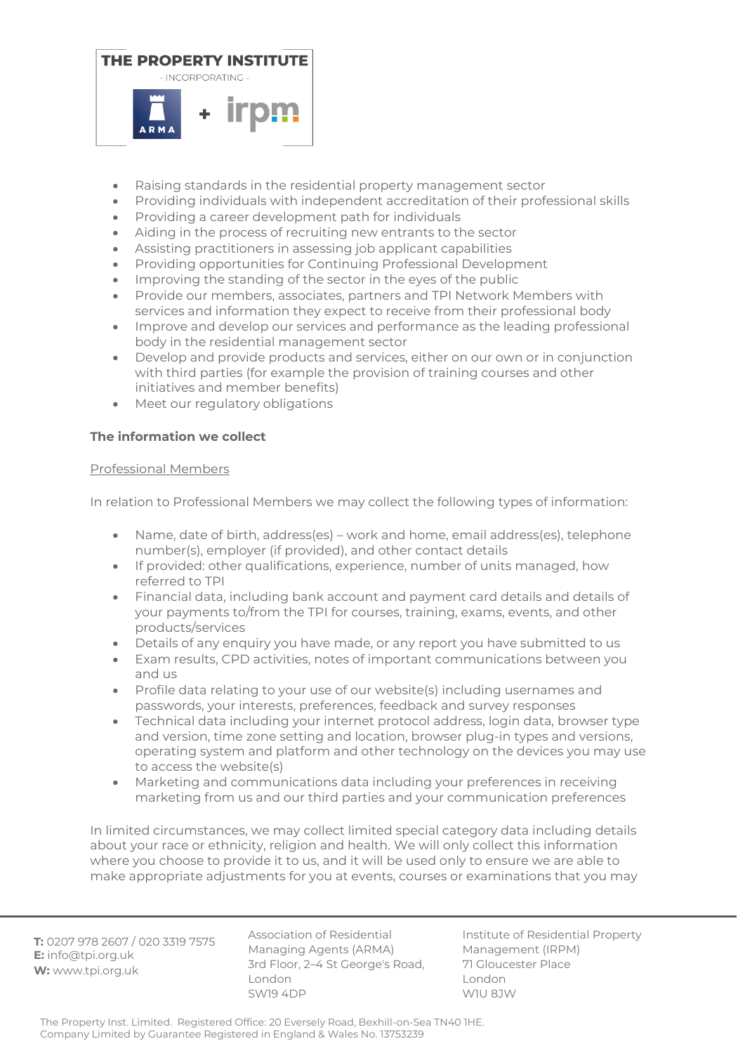

- Raising standards in the residential property management sector
- Providing individuals with independent accreditation of their professional skills
- Providing a career development path for individuals
- Aiding in the process of recruiting new entrants to the sector
- Assisting practitioners in assessing job applicant capabilities
- Providing opportunities for Continuing Professional Development
- Improving the standing of the sector in the eyes of the public
- Provide our members, associates, partners and TPI Network Members with services and information they expect to receive from their professional body
- Improve and develop our services and performance as the leading professional body in the residential management sector
- Develop and provide products and services, either on our own or in conjunction with third parties (for example the provision of training courses and other initiatives and member benefits)
- Meet our regulatory obligations

# **The information we collect**

## Professional Members

In relation to Professional Members we may collect the following types of information:

- Name, date of birth, address(es) work and home, email address(es), telephone number(s), employer (if provided), and other contact details
- If provided: other qualifications, experience, number of units managed, how referred to TPI
- Financial data, including bank account and payment card details and details of your payments to/from the TPI for courses, training, exams, events, and other products/services
- Details of any enquiry you have made, or any report you have submitted to us
- Exam results, CPD activities, notes of important communications between you and us
- Profile data relating to your use of our website(s) including usernames and passwords, your interests, preferences, feedback and survey responses
- Technical data including your internet protocol address, login data, browser type and version, time zone setting and location, browser plug-in types and versions, operating system and platform and other technology on the devices you may use to access the website(s)
- Marketing and communications data including your preferences in receiving marketing from us and our third parties and your communication preferences

In limited circumstances, we may collect limited special category data including details about your race or ethnicity, religion and health. We will only collect this information where you choose to provide it to us, and it will be used only to ensure we are able to make appropriate adjustments for you at events, courses or examinations that you may

**T:** 0207 978 2607 / 020 3319 7575 **E:** info@tpi.org.uk **W:** www.tpi.org.uk

Association of Residential Managing Agents (ARMA) 3rd Floor, 2–4 St George's Road, London SW19 4DP

Institute of Residential Property Management (IRPM) 71 Gloucester Place London W1U 8JW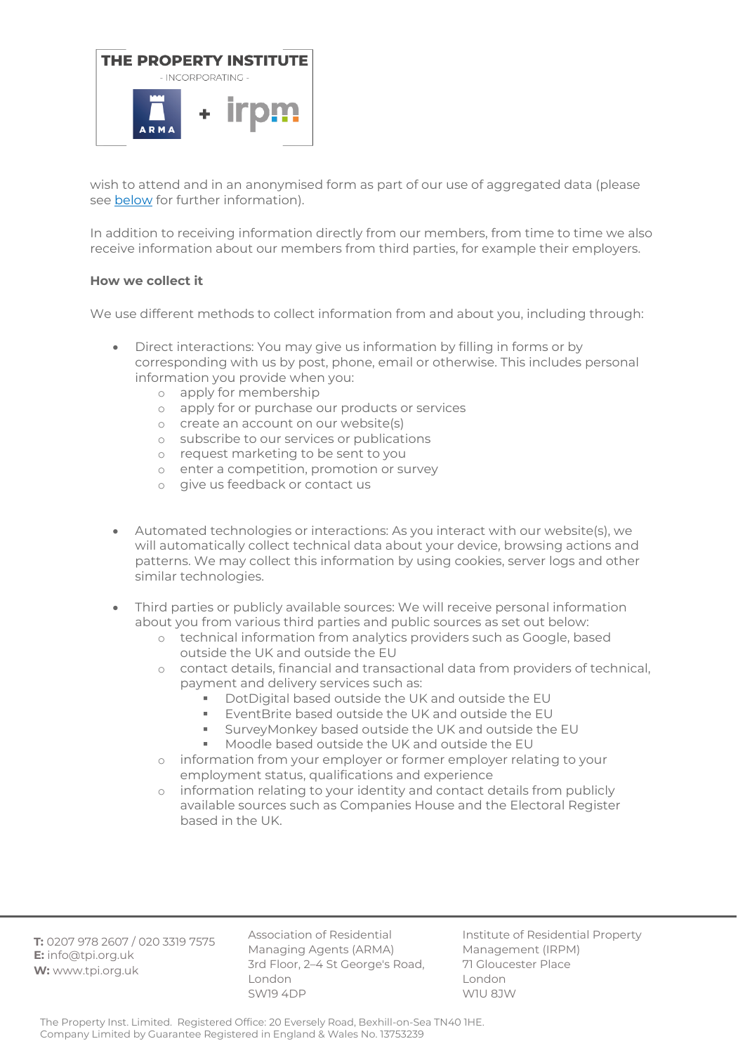

wish to attend and in an anonymised form as part of our use of aggregated data (please see below for further information).

In addition to receiving information directly from our members, from time to time we also receive information about our members from third parties, for example their employers.

## **How we collect it**

We use different methods to collect information from and about you, including through:

- Direct interactions: You may give us information by filling in forms or by corresponding with us by post, phone, email or otherwise. This includes personal information you provide when you:
	- o apply for membership
	- o apply for or purchase our products or services
	- o create an account on our website(s)
	- o subscribe to our services or publications
	- o request marketing to be sent to you
	- o enter a competition, promotion or survey
	- o give us feedback or contact us
- Automated technologies or interactions: As you interact with our website(s), we will automatically collect technical data about your device, browsing actions and patterns. We may collect this information by using cookies, server logs and other similar technologies.
- Third parties or publicly available sources: We will receive personal information about you from various third parties and public sources as set out below:
	- o technical information from analytics providers such as Google, based outside the UK and outside the EU
	- o contact details, financial and transactional data from providers of technical, payment and delivery services such as:
		- DotDigital based outside the UK and outside the EU
		- **E**ventBrite based outside the UK and outside the EU
		- **E** SurveyMonkey based outside the UK and outside the EU
		- Moodle based outside the UK and outside the EU
	- o information from your employer or former employer relating to your employment status, qualifications and experience
	- o information relating to your identity and contact details from publicly available sources such as Companies House and the Electoral Register based in the UK.

**T:** 0207 978 2607 / 020 3319 7575 **E:** info@tpi.org.uk **W:** www.tpi.org.uk

Association of Residential Managing Agents (ARMA) 3rd Floor, 2–4 St George's Road, London SW19 4DP

Institute of Residential Property Management (IRPM) 71 Gloucester Place London W1U 8JW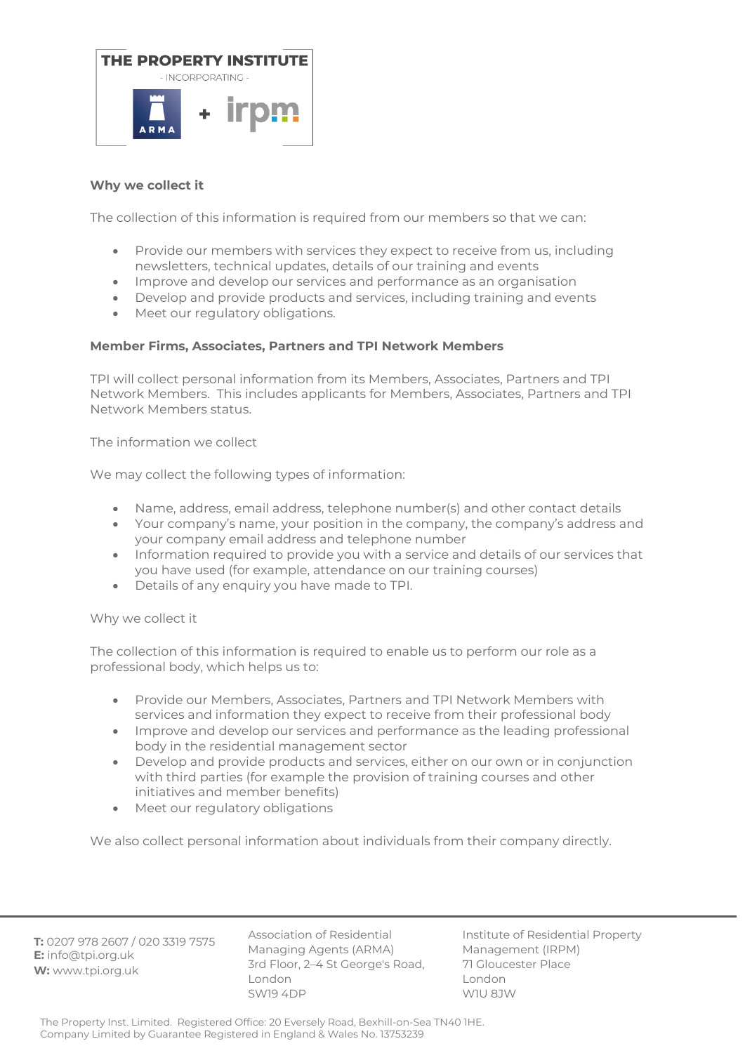

# **Why we collect it**

The collection of this information is required from our members so that we can:

- Provide our members with services they expect to receive from us, including newsletters, technical updates, details of our training and events
- Improve and develop our services and performance as an organisation
- Develop and provide products and services, including training and events
- Meet our regulatory obligations.

# **Member Firms, Associates, Partners and TPI Network Members**

TPI will collect personal information from its Members, Associates, Partners and TPI Network Members. This includes applicants for Members, Associates, Partners and TPI Network Members status.

The information we collect

We may collect the following types of information:

- Name, address, email address, telephone number(s) and other contact details
- Your company's name, your position in the company, the company's address and your company email address and telephone number
- Information required to provide you with a service and details of our services that you have used (for example, attendance on our training courses)
- Details of any enquiry you have made to TPI.

## Why we collect it

The collection of this information is required to enable us to perform our role as a professional body, which helps us to:

- Provide our Members, Associates, Partners and TPI Network Members with services and information they expect to receive from their professional body
- Improve and develop our services and performance as the leading professional body in the residential management sector
- Develop and provide products and services, either on our own or in conjunction with third parties (for example the provision of training courses and other initiatives and member benefits)
- Meet our regulatory obligations

We also collect personal information about individuals from their company directly.

**T:** 0207 978 2607 / 020 3319 7575 **E:** info@tpi.org.uk **W:** www.tpi.org.uk

Association of Residential Managing Agents (ARMA) 3rd Floor, 2–4 St George's Road, London SW19 4DP

Institute of Residential Property Management (IRPM) 71 Gloucester Place London W1U 8JW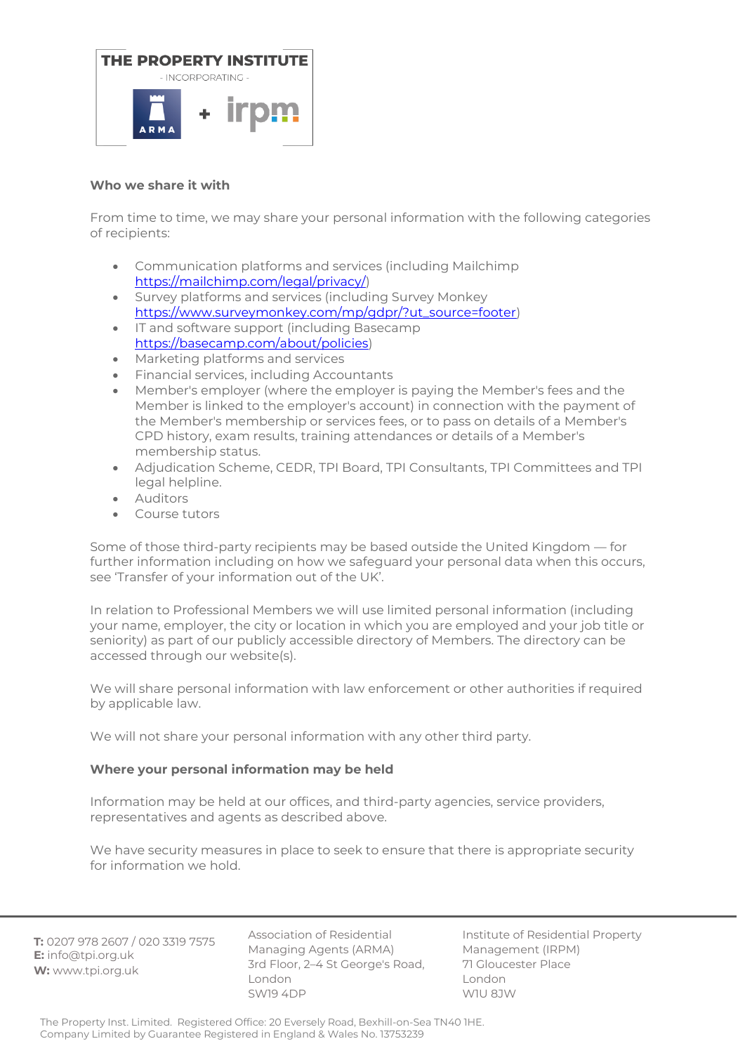

## **Who we share it with**

From time to time, we may share your personal information with the following categories of recipients:

- Communication platforms and services (including Mailchimp [https://mailchimp.com/legal/privacy/\)](https://mailchimp.com/legal/privacy/)
- Survey platforms and services (including Survey Monkey [https://www.surveymonkey.com/mp/gdpr/?ut\\_source=footer\)](https://www.surveymonkey.com/mp/gdpr/?ut_source=footer)
- IT and software support (including Basecamp [https://basecamp.com/about/policies\)](https://basecamp.com/about/policies)
- Marketing platforms and services
- Financial services, including Accountants
- Member's employer (where the employer is paying the Member's fees and the Member is linked to the employer's account) in connection with the payment of the Member's membership or services fees, or to pass on details of a Member's CPD history, exam results, training attendances or details of a Member's membership status.
- Adjudication Scheme, CEDR, TPI Board, TPI Consultants, TPI Committees and TPI legal helpline.
- Auditors
- Course tutors

Some of those third-party recipients may be based outside the United Kingdom — for further information including on how we safeguard your personal data when this occurs, see 'Transfer of your information out of the UK'.

In relation to Professional Members we will use limited personal information (including your name, employer, the city or location in which you are employed and your job title or seniority) as part of our publicly accessible directory of Members. The directory can be accessed through our website(s).

We will share personal information with law enforcement or other authorities if required by applicable law.

We will not share your personal information with any other third party.

## **Where your personal information may be held**

Information may be held at our offices, and third-party agencies, service providers, representatives and agents as described above.

We have security measures in place to seek to ensure that there is appropriate security for information we hold.

**T:** 0207 978 2607 / 020 3319 7575 **E:** info@tpi.org.uk **W:** www.tpi.org.uk

Association of Residential Managing Agents (ARMA) 3rd Floor, 2–4 St George's Road, London SW19 4DP

Institute of Residential Property Management (IRPM) 71 Gloucester Place London W1U 8JW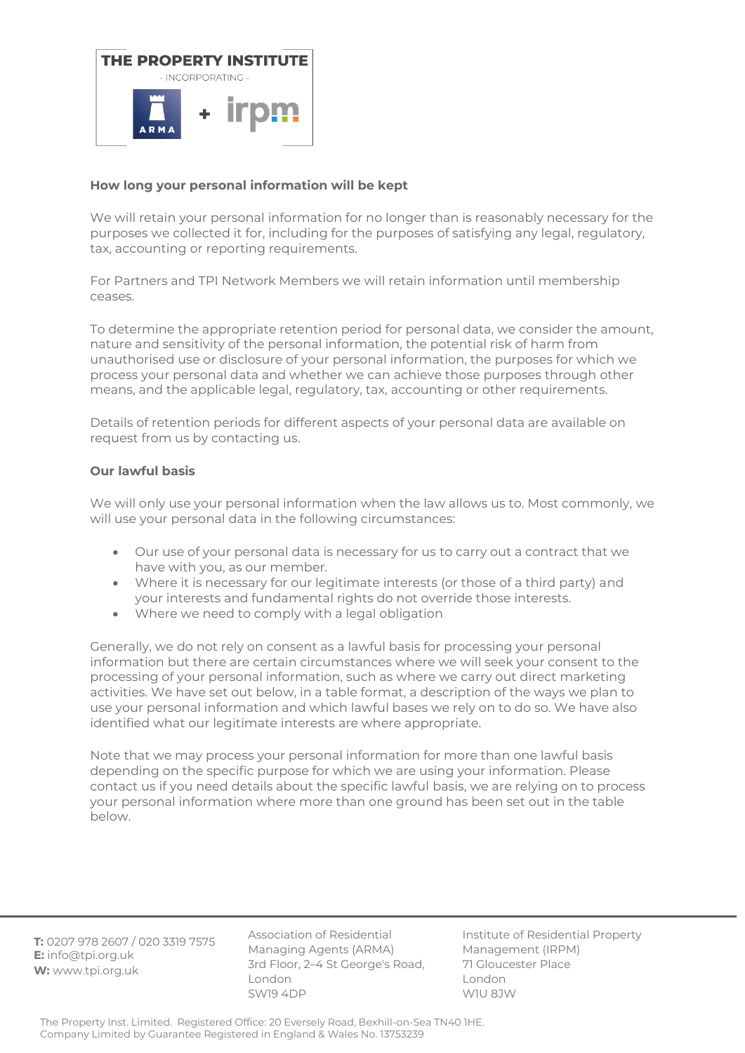

# **How long your personal information will be kept**

We will retain your personal information for no longer than is reasonably necessary for the purposes we collected it for, including for the purposes of satisfying any legal, regulatory, tax, accounting or reporting requirements.

For Partners and TPI Network Members we will retain information until membership ceases.

To determine the appropriate retention period for personal data, we consider the amount, nature and sensitivity of the personal information, the potential risk of harm from unauthorised use or disclosure of your personal information, the purposes for which we process your personal data and whether we can achieve those purposes through other means, and the applicable legal, regulatory, tax, accounting or other requirements.

Details of retention periods for different aspects of your personal data are available on request from us by contacting us.

## **Our lawful basis**

We will only use your personal information when the law allows us to. Most commonly, we will use your personal data in the following circumstances:

- Our use of your personal data is necessary for us to carry out a contract that we have with you, as our member.
- Where it is necessary for our legitimate interests (or those of a third party) and your interests and fundamental rights do not override those interests.
- Where we need to comply with a legal obligation

Generally, we do not rely on consent as a lawful basis for processing your personal information but there are certain circumstances where we will seek your consent to the processing of your personal information, such as where we carry out direct marketing activities. We have set out below, in a table format, a description of the ways we plan to use your personal information and which lawful bases we rely on to do so. We have also identified what our legitimate interests are where appropriate.

Note that we may process your personal information for more than one lawful basis depending on the specific purpose for which we are using your information. Please contact us if you need details about the specific lawful basis, we are relying on to process your personal information where more than one ground has been set out in the table below.

**T:** 0207 978 2607 / 020 3319 7575 **E:** info@tpi.org.uk **W:** www.tpi.org.uk

Association of Residential Managing Agents (ARMA) 3rd Floor, 2–4 St George's Road, London SW19 4DP

Institute of Residential Property Management (IRPM) 71 Gloucester Place London W1U 8JW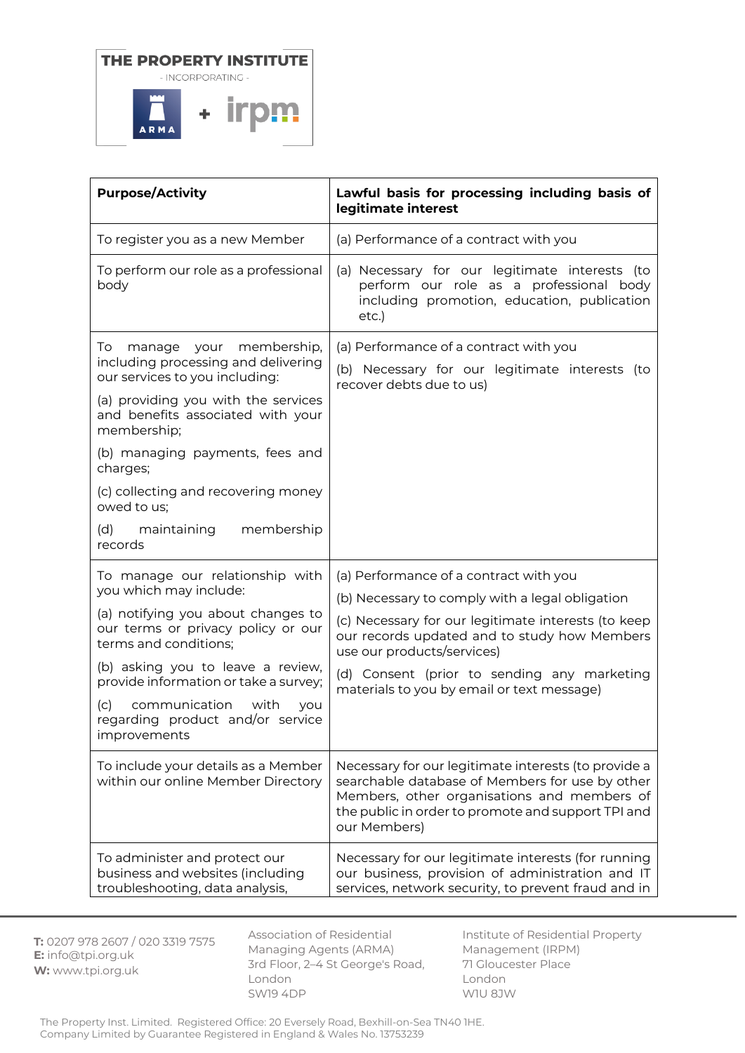

| <b>Purpose/Activity</b>                                                                                                                                                                           | Lawful basis for processing including basis of<br>legitimate interest                                                                                                                                                        |
|---------------------------------------------------------------------------------------------------------------------------------------------------------------------------------------------------|------------------------------------------------------------------------------------------------------------------------------------------------------------------------------------------------------------------------------|
| To register you as a new Member                                                                                                                                                                   | (a) Performance of a contract with you                                                                                                                                                                                       |
| To perform our role as a professional<br>body                                                                                                                                                     | (a) Necessary for our legitimate interests (to<br>perform our role as a professional body<br>including promotion, education, publication<br>etc.)                                                                            |
| manage your membership,<br>To<br>including processing and delivering<br>our services to you including:<br>(a) providing you with the services<br>and benefits associated with your<br>membership; | (a) Performance of a contract with you<br>(b) Necessary for our legitimate interests (to<br>recover debts due to us)                                                                                                         |
| (b) managing payments, fees and<br>charges;                                                                                                                                                       |                                                                                                                                                                                                                              |
| (c) collecting and recovering money<br>owed to us;                                                                                                                                                |                                                                                                                                                                                                                              |
| membership<br>(d)<br>maintaining<br>records                                                                                                                                                       |                                                                                                                                                                                                                              |
| To manage our relationship with<br>you which may include:                                                                                                                                         | (a) Performance of a contract with you                                                                                                                                                                                       |
| (a) notifying you about changes to<br>our terms or privacy policy or our<br>terms and conditions;                                                                                                 | (b) Necessary to comply with a legal obligation<br>(c) Necessary for our legitimate interests (to keep<br>our records updated and to study how Members<br>use our products/services)                                         |
| (b) asking you to leave a review,<br>provide information or take a survey;                                                                                                                        | (d) Consent (prior to sending any marketing<br>materials to you by email or text message)                                                                                                                                    |
| communication<br>(c)<br>with<br>you<br>regarding product and/or service<br>improvements                                                                                                           |                                                                                                                                                                                                                              |
| To include your details as a Member<br>within our online Member Directory                                                                                                                         | Necessary for our legitimate interests (to provide a<br>searchable database of Members for use by other<br>Members, other organisations and members of<br>the public in order to promote and support TPI and<br>our Members) |
| To administer and protect our<br>business and websites (including<br>troubleshooting, data analysis,                                                                                              | Necessary for our legitimate interests (for running<br>our business, provision of administration and IT<br>services, network security, to prevent fraud and in                                                               |

**T:** 0207 978 2607 / 020 3319 7575 **E:** info@tpi.org.uk **W:** www.tpi.org.uk

Association of Residential Managing Agents (ARMA) 3rd Floor, 2–4 St George's Road, London SW19 4DP

Institute of Residential Property Management (IRPM) 71 Gloucester Place London W1U 8JW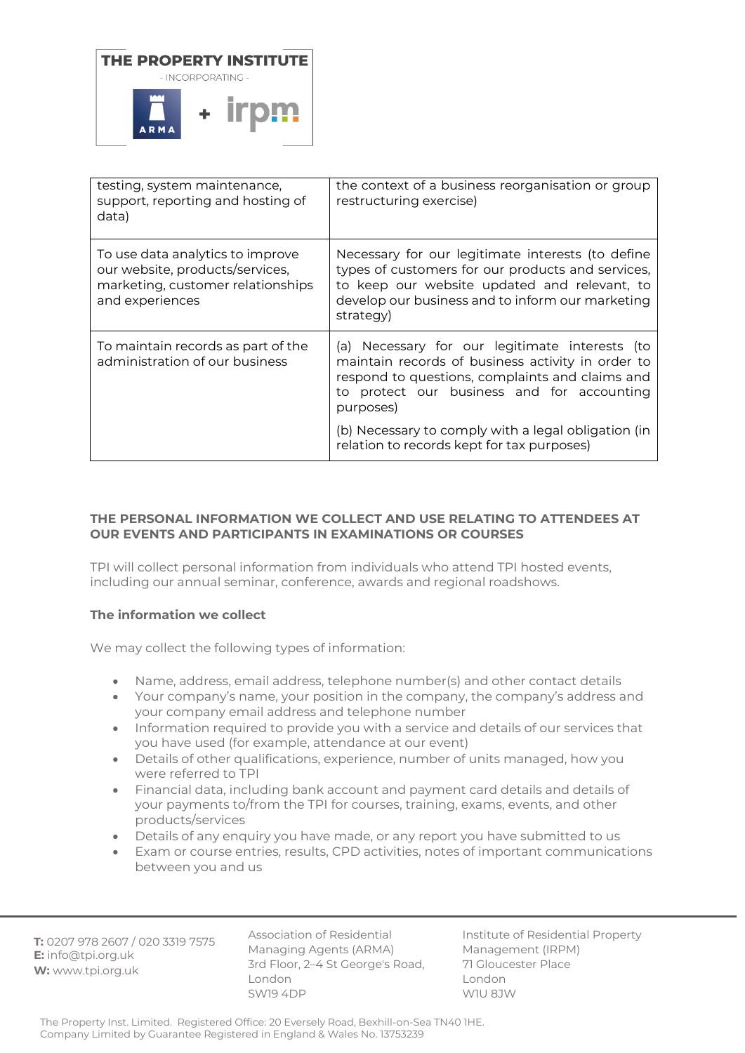

| testing, system maintenance,<br>support, reporting and hosting of<br>data)                                                  | the context of a business reorganisation or group<br>restructuring exercise)                                                                                                                                                                                                                                           |
|-----------------------------------------------------------------------------------------------------------------------------|------------------------------------------------------------------------------------------------------------------------------------------------------------------------------------------------------------------------------------------------------------------------------------------------------------------------|
| To use data analytics to improve<br>our website, products/services,<br>marketing, customer relationships<br>and experiences | Necessary for our legitimate interests (to define<br>types of customers for our products and services,<br>to keep our website updated and relevant, to<br>develop our business and to inform our marketing<br>strategy)                                                                                                |
| To maintain records as part of the<br>administration of our business                                                        | (a) Necessary for our legitimate interests (to<br>maintain records of business activity in order to<br>respond to questions, complaints and claims and<br>to protect our business and for accounting<br>purposes)<br>(b) Necessary to comply with a legal obligation (in<br>relation to records kept for tax purposes) |

# **THE PERSONAL INFORMATION WE COLLECT AND USE RELATING TO ATTENDEES AT OUR EVENTS AND PARTICIPANTS IN EXAMINATIONS OR COURSES**

TPI will collect personal information from individuals who attend TPI hosted events, including our annual seminar, conference, awards and regional roadshows.

## **The information we collect**

We may collect the following types of information:

- Name, address, email address, telephone number(s) and other contact details
- Your company's name, your position in the company, the company's address and your company email address and telephone number
- Information required to provide you with a service and details of our services that you have used (for example, attendance at our event)
- Details of other qualifications, experience, number of units managed, how you were referred to TPI
- Financial data, including bank account and payment card details and details of your payments to/from the TPI for courses, training, exams, events, and other products/services
- Details of any enquiry you have made, or any report you have submitted to us
- Exam or course entries, results, CPD activities, notes of important communications between you and us

**T:** 0207 978 2607 / 020 3319 7575 **E:** info@tpi.org.uk **W:** www.tpi.org.uk

Association of Residential Managing Agents (ARMA) 3rd Floor, 2–4 St George's Road, London SW19 4DP

Institute of Residential Property Management (IRPM) 71 Gloucester Place London W1U 8JW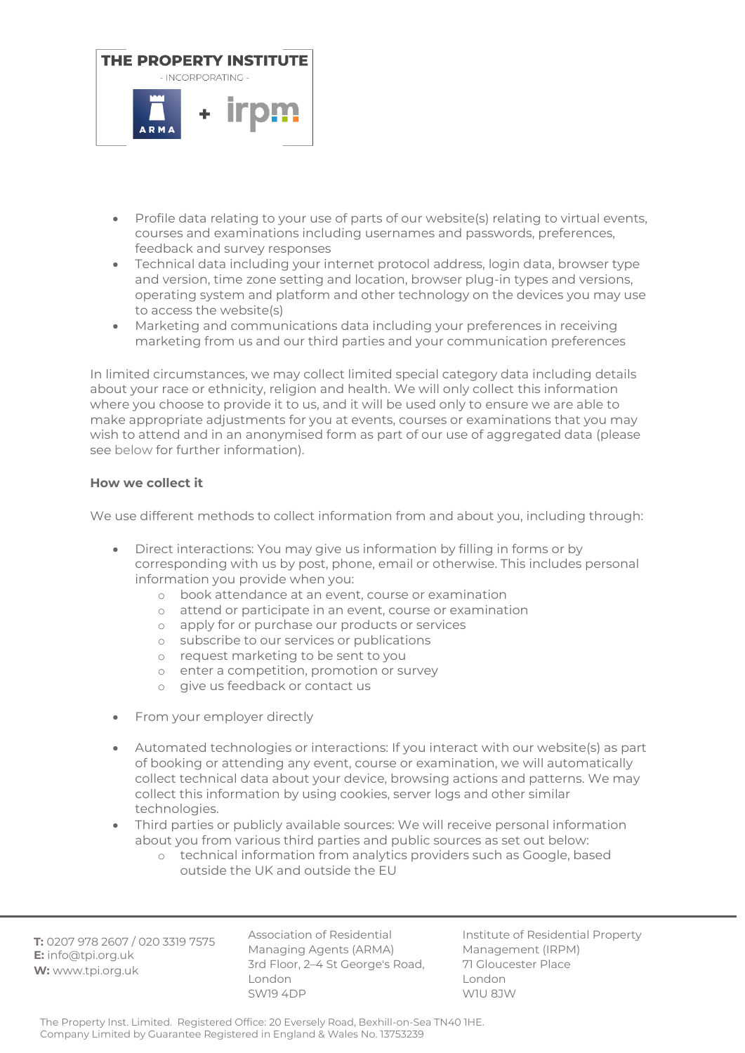

- Profile data relating to your use of parts of our website(s) relating to virtual events, courses and examinations including usernames and passwords, preferences, feedback and survey responses
- Technical data including your internet protocol address, login data, browser type and version, time zone setting and location, browser plug-in types and versions, operating system and platform and other technology on the devices you may use to access the website(s)
- Marketing and communications data including your preferences in receiving marketing from us and our third parties and your communication preferences

In limited circumstances, we may collect limited special category data including details about your race or ethnicity, religion and health. We will only collect this information where you choose to provide it to us, and it will be used only to ensure we are able to make appropriate adjustments for you at events, courses or examinations that you may wish to attend and in an anonymised form as part of our use of aggregated data (please see below for further information).

# **How we collect it**

We use different methods to collect information from and about you, including through:

- Direct interactions: You may give us information by filling in forms or by corresponding with us by post, phone, email or otherwise. This includes personal information you provide when you:
	- o book attendance at an event, course or examination
	- o attend or participate in an event, course or examination
	- o apply for or purchase our products or services
	- o subscribe to our services or publications
	- o request marketing to be sent to you
	- o enter a competition, promotion or survey
	- o give us feedback or contact us
- From your employer directly
- Automated technologies or interactions: If you interact with our website(s) as part of booking or attending any event, course or examination, we will automatically collect technical data about your device, browsing actions and patterns. We may collect this information by using cookies, server logs and other similar technologies.
- Third parties or publicly available sources: We will receive personal information about you from various third parties and public sources as set out below:
	- o technical information from analytics providers such as Google, based outside the UK and outside the EU

**T:** 0207 978 2607 / 020 3319 7575 **E:** info@tpi.org.uk **W:** www.tpi.org.uk

Association of Residential Managing Agents (ARMA) 3rd Floor, 2–4 St George's Road, London SW19 4DP

Institute of Residential Property Management (IRPM) 71 Gloucester Place London W1U 8JW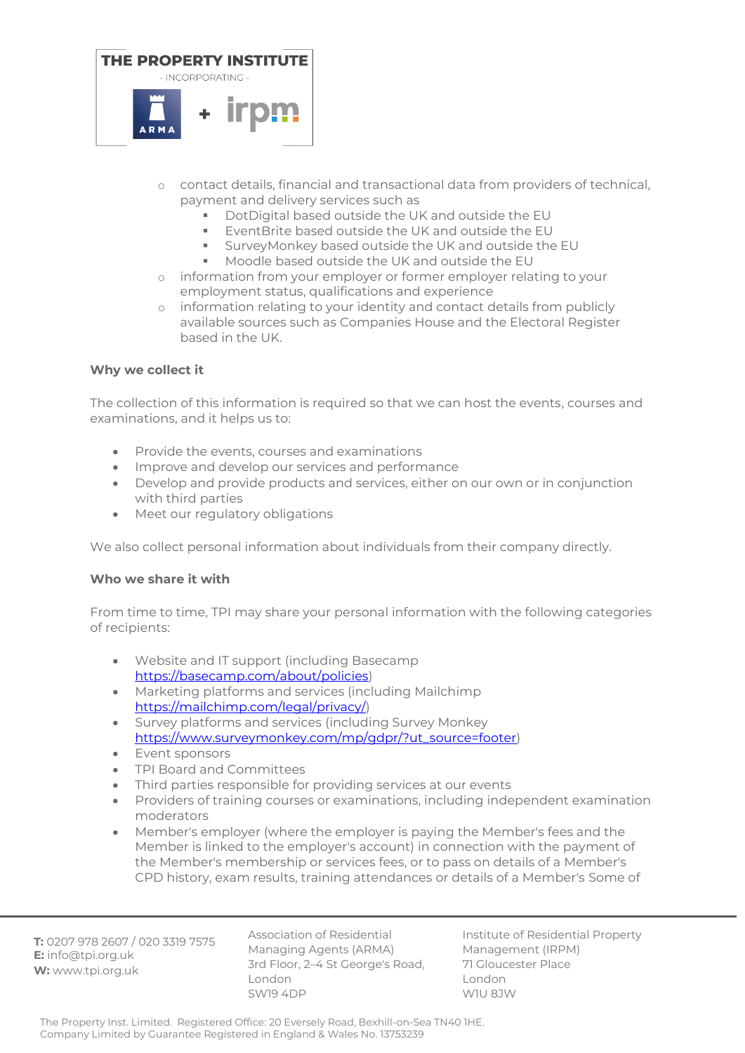

- o contact details, financial and transactional data from providers of technical, payment and delivery services such as
	- DotDigital based outside the UK and outside the EU
	- EventBrite based outside the UK and outside the EU
	- SurveyMonkey based outside the UK and outside the EU
	- Moodle based outside the UK and outside the EU
- o information from your employer or former employer relating to your employment status, qualifications and experience
- o information relating to your identity and contact details from publicly available sources such as Companies House and the Electoral Register based in the UK.

# **Why we collect it**

The collection of this information is required so that we can host the events, courses and examinations, and it helps us to:

- Provide the events, courses and examinations
- Improve and develop our services and performance
- Develop and provide products and services, either on our own or in conjunction with third parties
- Meet our regulatory obligations

We also collect personal information about individuals from their company directly.

## **Who we share it with**

From time to time, TPI may share your personal information with the following categories of recipients:

- Website and IT support (including Basecamp [https://basecamp.com/about/policies\)](https://basecamp.com/about/policies)
- Marketing platforms and services (including Mailchimp [https://mailchimp.com/legal/privacy/\)](https://mailchimp.com/legal/privacy/)
- Survey platforms and services (including Survey Monkey [https://www.surveymonkey.com/mp/gdpr/?ut\\_source=footer\)](https://www.surveymonkey.com/mp/gdpr/?ut_source=footer)
- Event sponsors
- TPI Board and Committees
- Third parties responsible for providing services at our events
- Providers of training courses or examinations, including independent examination moderators
- Member's employer (where the employer is paying the Member's fees and the Member is linked to the employer's account) in connection with the payment of the Member's membership or services fees, or to pass on details of a Member's CPD history, exam results, training attendances or details of a Member's Some of

**T:** 0207 978 2607 / 020 3319 7575 **E:** info@tpi.org.uk **W:** www.tpi.org.uk

Association of Residential Managing Agents (ARMA) 3rd Floor, 2–4 St George's Road, London SW19 4DP

Institute of Residential Property Management (IRPM) 71 Gloucester Place London W1U 8JW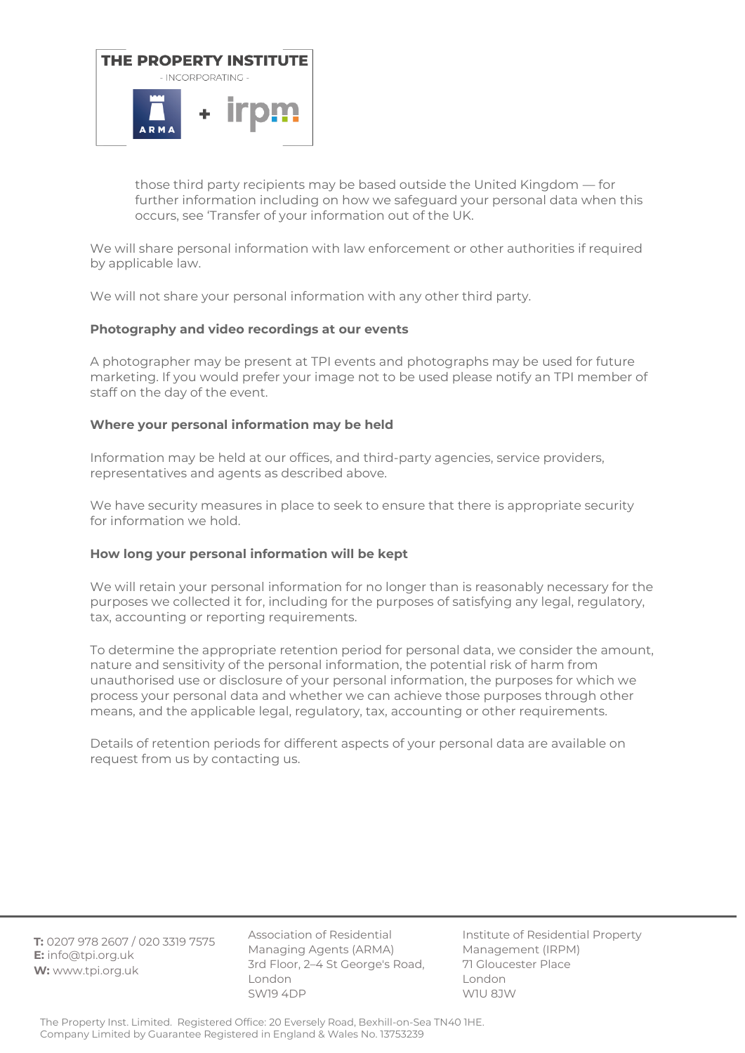

those third party recipients may be based outside the United Kingdom — for further information including on how we safeguard your personal data when this occurs, see 'Transfer of your information out of the UK.

We will share personal information with law enforcement or other authorities if required by applicable law.

We will not share your personal information with any other third party.

## **Photography and video recordings at our events**

A photographer may be present at TPI events and photographs may be used for future marketing. If you would prefer your image not to be used please notify an TPI member of staff on the day of the event.

## **Where your personal information may be held**

Information may be held at our offices, and third-party agencies, service providers, representatives and agents as described above.

We have security measures in place to seek to ensure that there is appropriate security for information we hold.

#### **How long your personal information will be kept**

We will retain your personal information for no longer than is reasonably necessary for the purposes we collected it for, including for the purposes of satisfying any legal, regulatory, tax, accounting or reporting requirements.

To determine the appropriate retention period for personal data, we consider the amount, nature and sensitivity of the personal information, the potential risk of harm from unauthorised use or disclosure of your personal information, the purposes for which we process your personal data and whether we can achieve those purposes through other means, and the applicable legal, regulatory, tax, accounting or other requirements.

Details of retention periods for different aspects of your personal data are available on request from us by contacting us.

**T:** 0207 978 2607 / 020 3319 7575 **E:** info@tpi.org.uk **W:** www.tpi.org.uk

Association of Residential Managing Agents (ARMA) 3rd Floor, 2–4 St George's Road, London SW19 4DP

Institute of Residential Property Management (IRPM) 71 Gloucester Place London W1U 8JW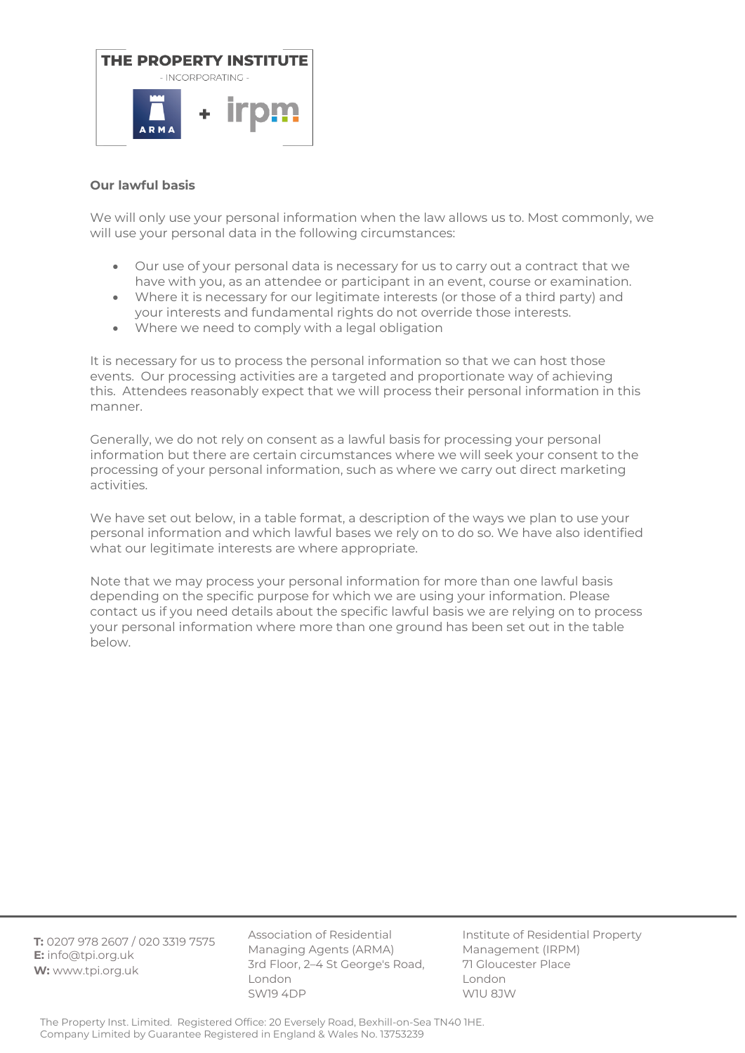

# **Our lawful basis**

We will only use your personal information when the law allows us to. Most commonly, we will use your personal data in the following circumstances:

- Our use of your personal data is necessary for us to carry out a contract that we have with you, as an attendee or participant in an event, course or examination.
- Where it is necessary for our legitimate interests (or those of a third party) and your interests and fundamental rights do not override those interests.
- Where we need to comply with a legal obligation

It is necessary for us to process the personal information so that we can host those events. Our processing activities are a targeted and proportionate way of achieving this. Attendees reasonably expect that we will process their personal information in this manner.

Generally, we do not rely on consent as a lawful basis for processing your personal information but there are certain circumstances where we will seek your consent to the processing of your personal information, such as where we carry out direct marketing activities.

We have set out below, in a table format, a description of the ways we plan to use your personal information and which lawful bases we rely on to do so. We have also identified what our legitimate interests are where appropriate.

Note that we may process your personal information for more than one lawful basis depending on the specific purpose for which we are using your information. Please contact us if you need details about the specific lawful basis we are relying on to process your personal information where more than one ground has been set out in the table below.

**T:** 0207 978 2607 / 020 3319 7575 **E:** info@tpi.org.uk **W:** www.tpi.org.uk

Association of Residential Managing Agents (ARMA) 3rd Floor, 2–4 St George's Road, London SW19 4DP

Institute of Residential Property Management (IRPM) 71 Gloucester Place London W1U 8JW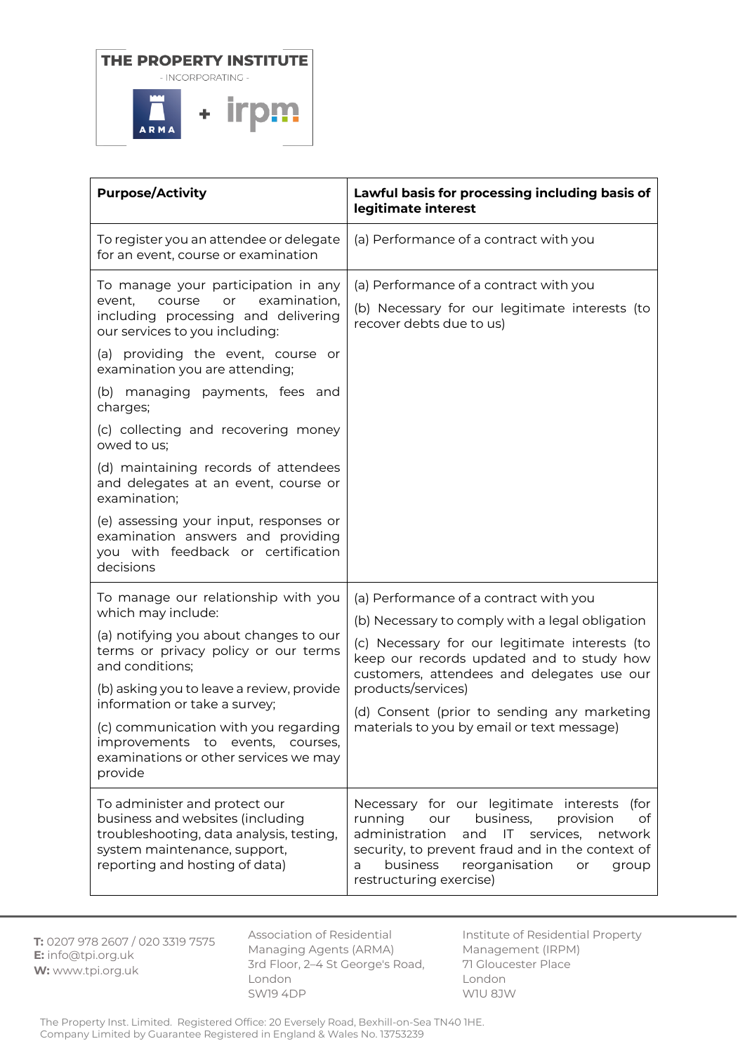

| <b>Purpose/Activity</b>                                                                                                                                                                                                                                                                                                                                                                                                                                                                                                                                  | Lawful basis for processing including basis of<br>legitimate interest                                                                                                                                                                                                                                                                                     |
|----------------------------------------------------------------------------------------------------------------------------------------------------------------------------------------------------------------------------------------------------------------------------------------------------------------------------------------------------------------------------------------------------------------------------------------------------------------------------------------------------------------------------------------------------------|-----------------------------------------------------------------------------------------------------------------------------------------------------------------------------------------------------------------------------------------------------------------------------------------------------------------------------------------------------------|
| To register you an attendee or delegate<br>for an event, course or examination                                                                                                                                                                                                                                                                                                                                                                                                                                                                           | (a) Performance of a contract with you                                                                                                                                                                                                                                                                                                                    |
| To manage your participation in any<br>examination,<br>event,<br>course<br>or<br>including processing and delivering<br>our services to you including:<br>(a) providing the event, course or<br>examination you are attending;<br>(b) managing payments, fees and<br>charges;<br>(c) collecting and recovering money<br>owed to us;<br>(d) maintaining records of attendees<br>and delegates at an event, course or<br>examination;<br>(e) assessing your input, responses or<br>examination answers and providing<br>you with feedback or certification | (a) Performance of a contract with you<br>(b) Necessary for our legitimate interests (to<br>recover debts due to us)                                                                                                                                                                                                                                      |
| decisions                                                                                                                                                                                                                                                                                                                                                                                                                                                                                                                                                |                                                                                                                                                                                                                                                                                                                                                           |
| To manage our relationship with you<br>which may include:<br>(a) notifying you about changes to our<br>terms or privacy policy or our terms<br>and conditions;<br>(b) asking you to leave a review, provide<br>information or take a survey;<br>(c) communication with you regarding<br>improvements to events,<br>courses,<br>examinations or other services we may<br>provide                                                                                                                                                                          | (a) Performance of a contract with you<br>(b) Necessary to comply with a legal obligation<br>(c) Necessary for our legitimate interests (to<br>keep our records updated and to study how<br>customers, attendees and delegates use our<br>products/services)<br>(d) Consent (prior to sending any marketing<br>materials to you by email or text message) |
| To administer and protect our<br>business and websites (including<br>troubleshooting, data analysis, testing,<br>system maintenance, support,<br>reporting and hosting of data)                                                                                                                                                                                                                                                                                                                                                                          | Necessary for our legitimate interests<br>(for<br>running<br>business,<br>provision<br>our<br>of<br>administration<br>and<br>services,<br>IT.<br>network<br>security, to prevent fraud and in the context of<br>business<br>reorganisation<br>a<br>or<br>group<br>restructuring exercise)                                                                 |

**T:** 0207 978 2607 / 020 3319 7575 **E:** info@tpi.org.uk **W:** www.tpi.org.uk

Association of Residential Managing Agents (ARMA) 3rd Floor, 2–4 St George's Road, London SW19 4DP

Institute of Residential Property Management (IRPM) 71 Gloucester Place London W1U 8JW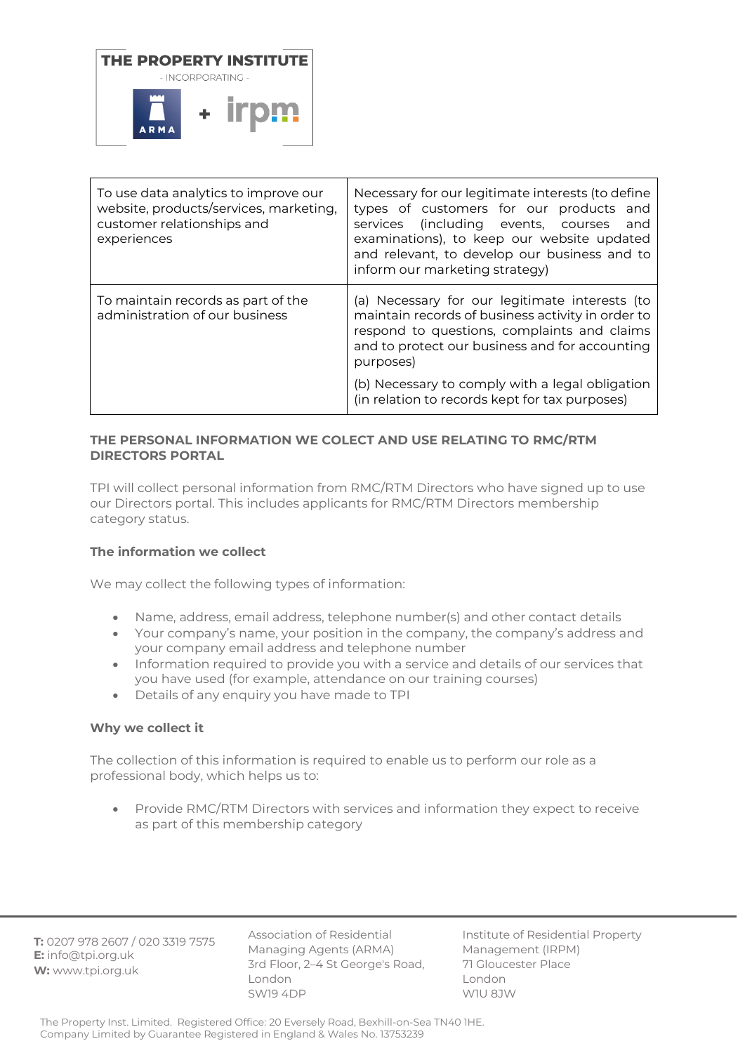

| To use data analytics to improve our<br>website, products/services, marketing,<br>customer relationships and<br>experiences | Necessary for our legitimate interests (to define<br>types of customers for our products and<br>services<br>(including events, courses<br>and<br>examinations), to keep our website updated<br>and relevant, to develop our business and to<br>inform our marketing strategy) |
|-----------------------------------------------------------------------------------------------------------------------------|-------------------------------------------------------------------------------------------------------------------------------------------------------------------------------------------------------------------------------------------------------------------------------|
| To maintain records as part of the<br>administration of our business                                                        | (a) Necessary for our legitimate interests (to<br>maintain records of business activity in order to<br>respond to questions, complaints and claims<br>and to protect our business and for accounting<br>purposes)                                                             |
|                                                                                                                             | (b) Necessary to comply with a legal obligation<br>(in relation to records kept for tax purposes)                                                                                                                                                                             |

# **THE PERSONAL INFORMATION WE COLECT AND USE RELATING TO RMC/RTM DIRECTORS PORTAL**

TPI will collect personal information from RMC/RTM Directors who have signed up to use our Directors portal. This includes applicants for RMC/RTM Directors membership category status.

# **The information we collect**

We may collect the following types of information:

- Name, address, email address, telephone number(s) and other contact details
- Your company's name, your position in the company, the company's address and your company email address and telephone number
- Information required to provide you with a service and details of our services that you have used (for example, attendance on our training courses)
- Details of any enquiry you have made to TPI

## **Why we collect it**

The collection of this information is required to enable us to perform our role as a professional body, which helps us to:

• Provide RMC/RTM Directors with services and information they expect to receive as part of this membership category

**T:** 0207 978 2607 / 020 3319 7575 **E:** info@tpi.org.uk **W:** www.tpi.org.uk

Association of Residential Managing Agents (ARMA) 3rd Floor, 2–4 St George's Road, London SW19 4DP

Institute of Residential Property Management (IRPM) 71 Gloucester Place London W1U 8JW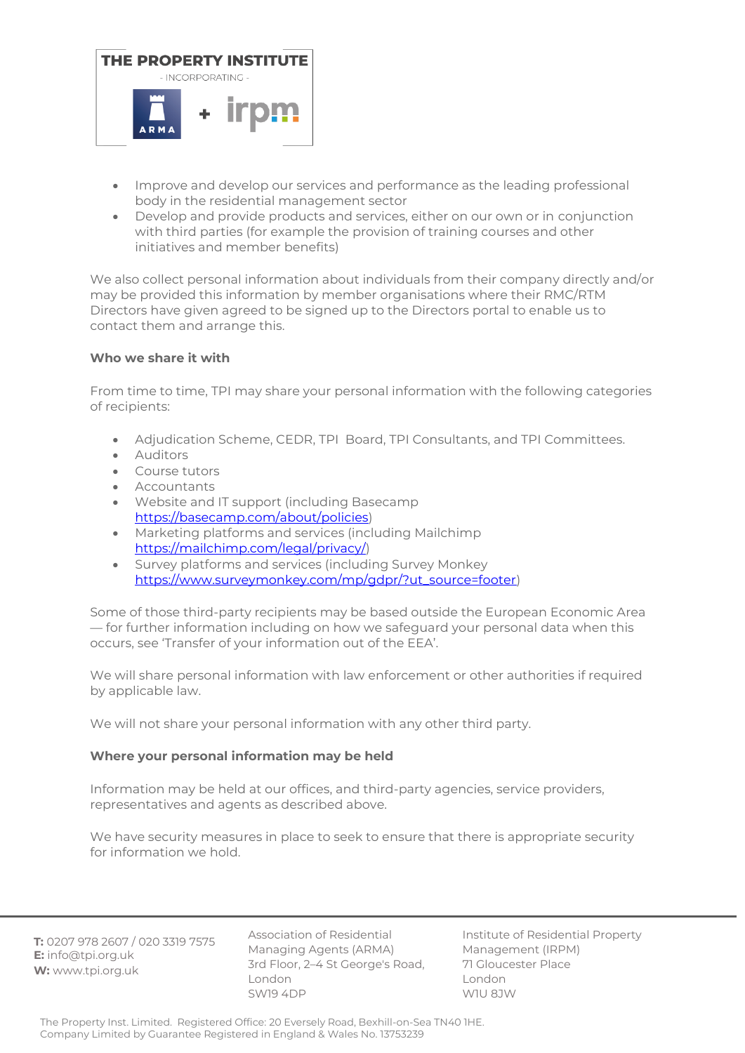

- Improve and develop our services and performance as the leading professional body in the residential management sector
- Develop and provide products and services, either on our own or in conjunction with third parties (for example the provision of training courses and other initiatives and member benefits)

We also collect personal information about individuals from their company directly and/or may be provided this information by member organisations where their RMC/RTM Directors have given agreed to be signed up to the Directors portal to enable us to contact them and arrange this.

# **Who we share it with**

From time to time, TPI may share your personal information with the following categories of recipients:

- Adjudication Scheme, CEDR, TPI Board, TPI Consultants, and TPI Committees.
- Auditors
- Course tutors
- **Accountants**
- Website and IT support (including Basecamp [https://basecamp.com/about/policies\)](https://basecamp.com/about/policies)
- Marketing platforms and services (including Mailchimp [https://mailchimp.com/legal/privacy/\)](https://mailchimp.com/legal/privacy/)
- Survey platforms and services (including Survey Monkey [https://www.surveymonkey.com/mp/gdpr/?ut\\_source=footer\)](https://www.surveymonkey.com/mp/gdpr/?ut_source=footer)

Some of those third-party recipients may be based outside the European Economic Area — for further information including on how we safeguard your personal data when this occurs, see 'Transfer of your information out of the EEA'.

We will share personal information with law enforcement or other authorities if required by applicable law.

We will not share your personal information with any other third party.

# **Where your personal information may be held**

Information may be held at our offices, and third-party agencies, service providers, representatives and agents as described above.

We have security measures in place to seek to ensure that there is appropriate security for information we hold.

**T:** 0207 978 2607 / 020 3319 7575 **E:** info@tpi.org.uk **W:** www.tpi.org.uk

Association of Residential Managing Agents (ARMA) 3rd Floor, 2–4 St George's Road, London SW19 4DP

Institute of Residential Property Management (IRPM) 71 Gloucester Place London W1U 8JW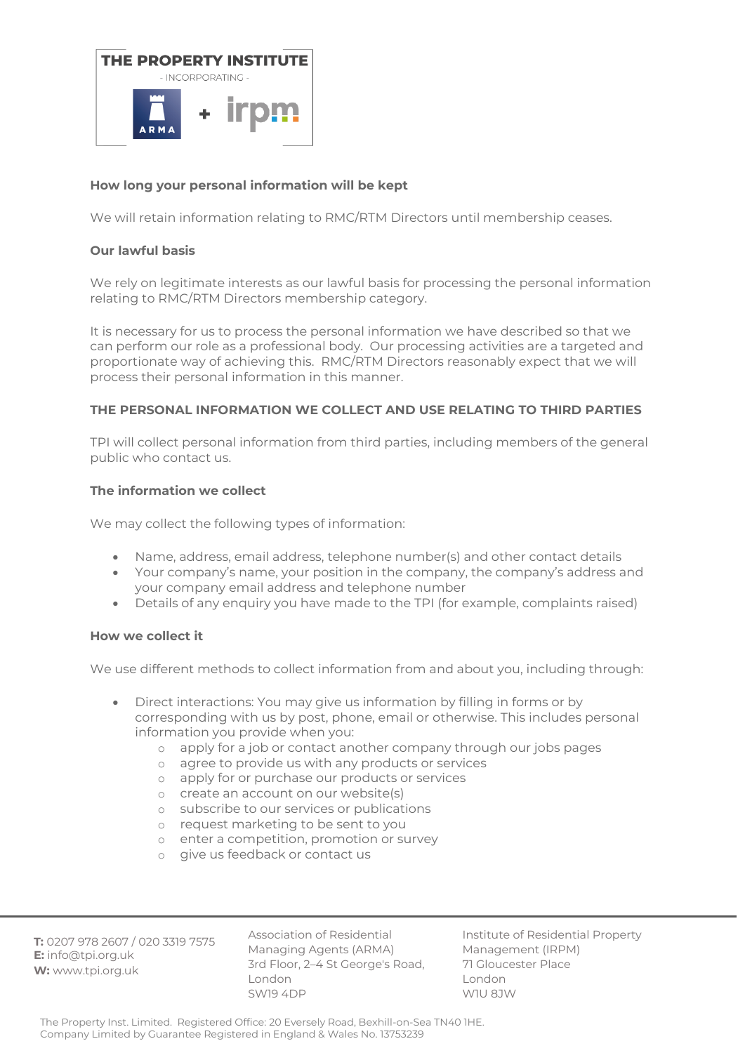

# **How long your personal information will be kept**

We will retain information relating to RMC/RTM Directors until membership ceases.

#### **Our lawful basis**

We rely on legitimate interests as our lawful basis for processing the personal information relating to RMC/RTM Directors membership category.

It is necessary for us to process the personal information we have described so that we can perform our role as a professional body. Our processing activities are a targeted and proportionate way of achieving this. RMC/RTM Directors reasonably expect that we will process their personal information in this manner.

# **THE PERSONAL INFORMATION WE COLLECT AND USE RELATING TO THIRD PARTIES**

TPI will collect personal information from third parties, including members of the general public who contact us.

#### **The information we collect**

We may collect the following types of information:

- Name, address, email address, telephone number(s) and other contact details
- Your company's name, your position in the company, the company's address and your company email address and telephone number
- Details of any enquiry you have made to the TPI (for example, complaints raised)

## **How we collect it**

We use different methods to collect information from and about you, including through:

- Direct interactions: You may give us information by filling in forms or by corresponding with us by post, phone, email or otherwise. This includes personal information you provide when you:
	- o apply for a job or contact another company through our jobs pages
	- o agree to provide us with any products or services
	- o apply for or purchase our products or services
	- o create an account on our website(s)
	- o subscribe to our services or publications
	- o request marketing to be sent to you
	- o enter a competition, promotion or survey
	- o give us feedback or contact us

**T:** 0207 978 2607 / 020 3319 7575 **E:** info@tpi.org.uk **W:** www.tpi.org.uk

Association of Residential Managing Agents (ARMA) 3rd Floor, 2–4 St George's Road, London SW19 4DP

Institute of Residential Property Management (IRPM) 71 Gloucester Place London W1U 8JW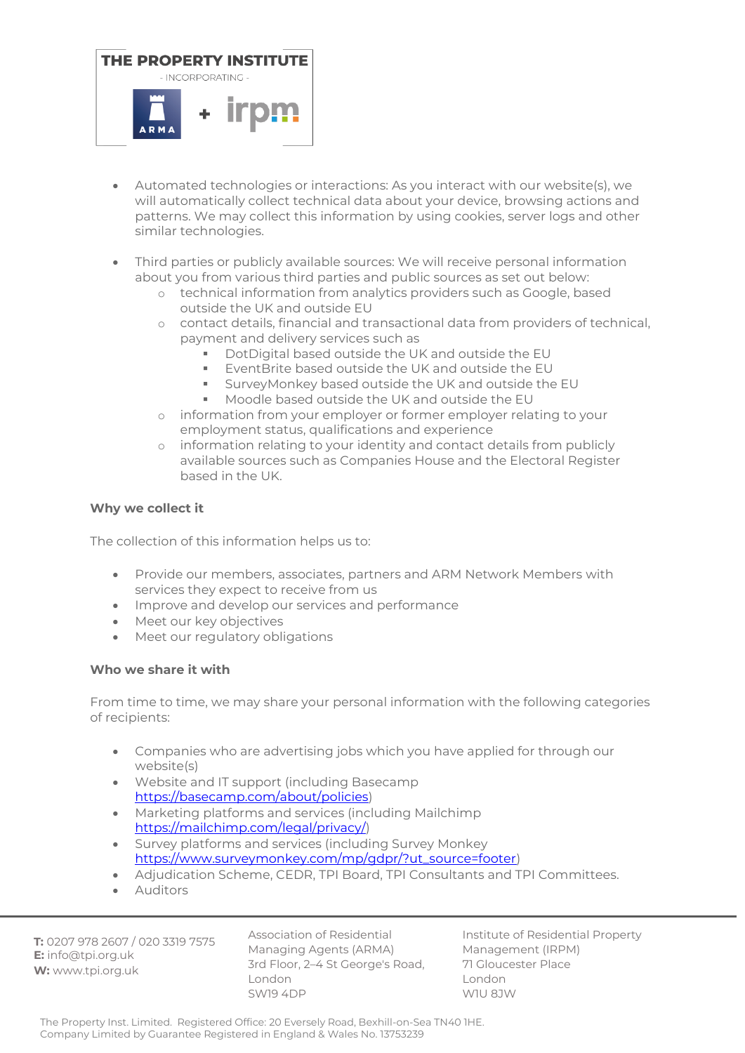

- Automated technologies or interactions: As you interact with our website(s), we will automatically collect technical data about your device, browsing actions and patterns. We may collect this information by using cookies, server logs and other similar technologies.
- Third parties or publicly available sources: We will receive personal information about you from various third parties and public sources as set out below:
	- o technical information from analytics providers such as Google, based outside the UK and outside EU
	- o contact details, financial and transactional data from providers of technical, payment and delivery services such as
		- DotDigital based outside the UK and outside the EU
		- EventBrite based outside the UK and outside the EU
		- SurveyMonkey based outside the UK and outside the FU
		- Moodle based outside the UK and outside the EU
	- o information from your employer or former employer relating to your employment status, qualifications and experience
	- o information relating to your identity and contact details from publicly available sources such as Companies House and the Electoral Register based in the UK.

# **Why we collect it**

The collection of this information helps us to:

- Provide our members, associates, partners and ARM Network Members with services they expect to receive from us
- Improve and develop our services and performance
- Meet our key objectives
- Meet our regulatory obligations

## **Who we share it with**

From time to time, we may share your personal information with the following categories of recipients:

- Companies who are advertising jobs which you have applied for through our website(s)
- Website and IT support (including Basecamp [https://basecamp.com/about/policies\)](https://basecamp.com/about/policies)
- Marketing platforms and services (including Mailchimp [https://mailchimp.com/legal/privacy/\)](https://mailchimp.com/legal/privacy/)
- Survey platforms and services (including Survey Monkey [https://www.surveymonkey.com/mp/gdpr/?ut\\_source=footer\)](https://www.surveymonkey.com/mp/gdpr/?ut_source=footer)
- Adjudication Scheme, CEDR, TPI Board, TPI Consultants and TPI Committees.
- Auditors

**T:** 0207 978 2607 / 020 3319 7575 **E:** info@tpi.org.uk **W:** www.tpi.org.uk

Association of Residential Managing Agents (ARMA) 3rd Floor, 2–4 St George's Road, London SW19 4DP

Institute of Residential Property Management (IRPM) 71 Gloucester Place London W1U 8JW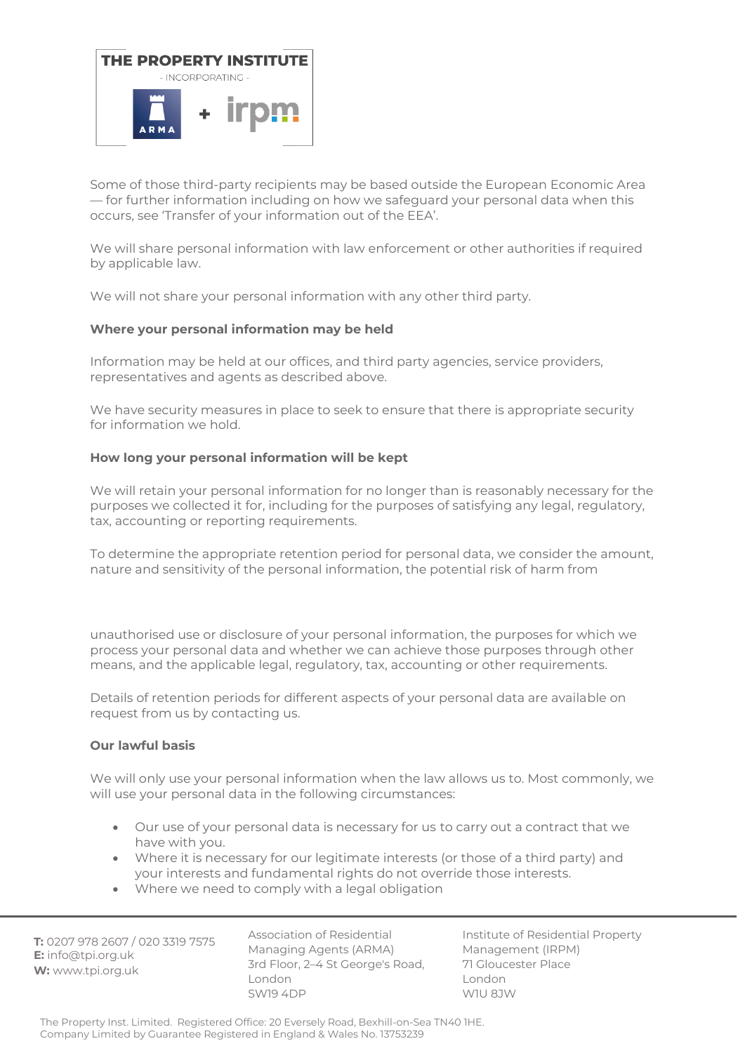

Some of those third-party recipients may be based outside the European Economic Area — for further information including on how we safeguard your personal data when this occurs, see 'Transfer of your information out of the EEA'.

We will share personal information with law enforcement or other authorities if required by applicable law.

We will not share your personal information with any other third party.

## **Where your personal information may be held**

Information may be held at our offices, and third party agencies, service providers, representatives and agents as described above.

We have security measures in place to seek to ensure that there is appropriate security for information we hold.

## **How long your personal information will be kept**

We will retain your personal information for no longer than is reasonably necessary for the purposes we collected it for, including for the purposes of satisfying any legal, regulatory, tax, accounting or reporting requirements.

To determine the appropriate retention period for personal data, we consider the amount, nature and sensitivity of the personal information, the potential risk of harm from

unauthorised use or disclosure of your personal information, the purposes for which we process your personal data and whether we can achieve those purposes through other means, and the applicable legal, regulatory, tax, accounting or other requirements.

Details of retention periods for different aspects of your personal data are available on request from us by contacting us.

## **Our lawful basis**

We will only use your personal information when the law allows us to. Most commonly, we will use your personal data in the following circumstances:

- Our use of your personal data is necessary for us to carry out a contract that we have with you.
- Where it is necessary for our legitimate interests (or those of a third party) and your interests and fundamental rights do not override those interests.
- Where we need to comply with a legal obligation

**T:** 0207 978 2607 / 020 3319 7575 **E:** info@tpi.org.uk **W:** www.tpi.org.uk

Association of Residential Managing Agents (ARMA) 3rd Floor, 2–4 St George's Road, London SW19 4DP

Institute of Residential Property Management (IRPM) 71 Gloucester Place London W1U 8JW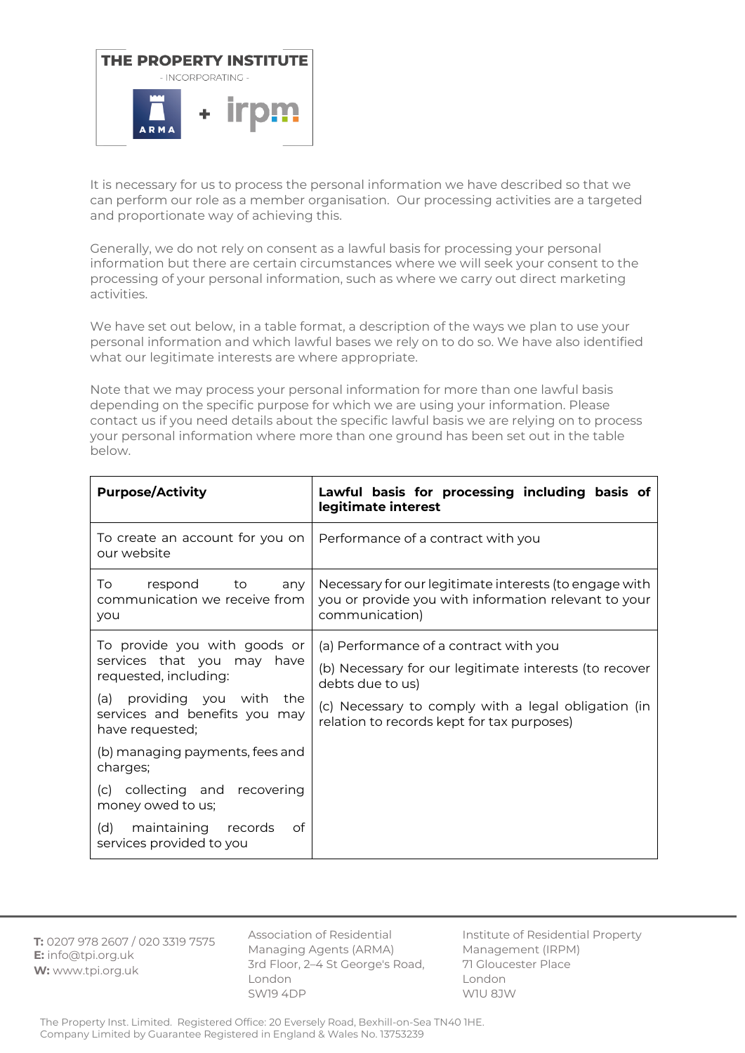

It is necessary for us to process the personal information we have described so that we can perform our role as a member organisation. Our processing activities are a targeted and proportionate way of achieving this.

Generally, we do not rely on consent as a lawful basis for processing your personal information but there are certain circumstances where we will seek your consent to the processing of your personal information, such as where we carry out direct marketing activities.

We have set out below, in a table format, a description of the ways we plan to use your personal information and which lawful bases we rely on to do so. We have also identified what our legitimate interests are where appropriate.

Note that we may process your personal information for more than one lawful basis depending on the specific purpose for which we are using your information. Please contact us if you need details about the specific lawful basis we are relying on to process your personal information where more than one ground has been set out in the table below.

| <b>Purpose/Activity</b>                                                                                                                                                                                                                                                                                                                       | Lawful basis for processing including basis of<br>legitimate interest                                                                                                                                                     |
|-----------------------------------------------------------------------------------------------------------------------------------------------------------------------------------------------------------------------------------------------------------------------------------------------------------------------------------------------|---------------------------------------------------------------------------------------------------------------------------------------------------------------------------------------------------------------------------|
| To create an account for you on<br>our website                                                                                                                                                                                                                                                                                                | Performance of a contract with you                                                                                                                                                                                        |
| To.<br>respond to<br>any<br>communication we receive from<br>you                                                                                                                                                                                                                                                                              | Necessary for our legitimate interests (to engage with<br>you or provide you with information relevant to your<br>communication)                                                                                          |
| To provide you with goods or<br>services that you may have<br>requested, including:<br>(a) providing you with<br>the<br>services and benefits you may<br>have requested;<br>(b) managing payments, fees and<br>charges;<br>(c) collecting and recovering<br>money owed to us;<br>maintaining records<br>of<br>(d)<br>services provided to you | (a) Performance of a contract with you<br>(b) Necessary for our legitimate interests (to recover<br>debts due to us)<br>(c) Necessary to comply with a legal obligation (in<br>relation to records kept for tax purposes) |

**T:** 0207 978 2607 / 020 3319 7575 **E:** info@tpi.org.uk **W:** www.tpi.org.uk

Association of Residential Managing Agents (ARMA) 3rd Floor, 2–4 St George's Road, London SW19 4DP

Institute of Residential Property Management (IRPM) 71 Gloucester Place London W1U 8JW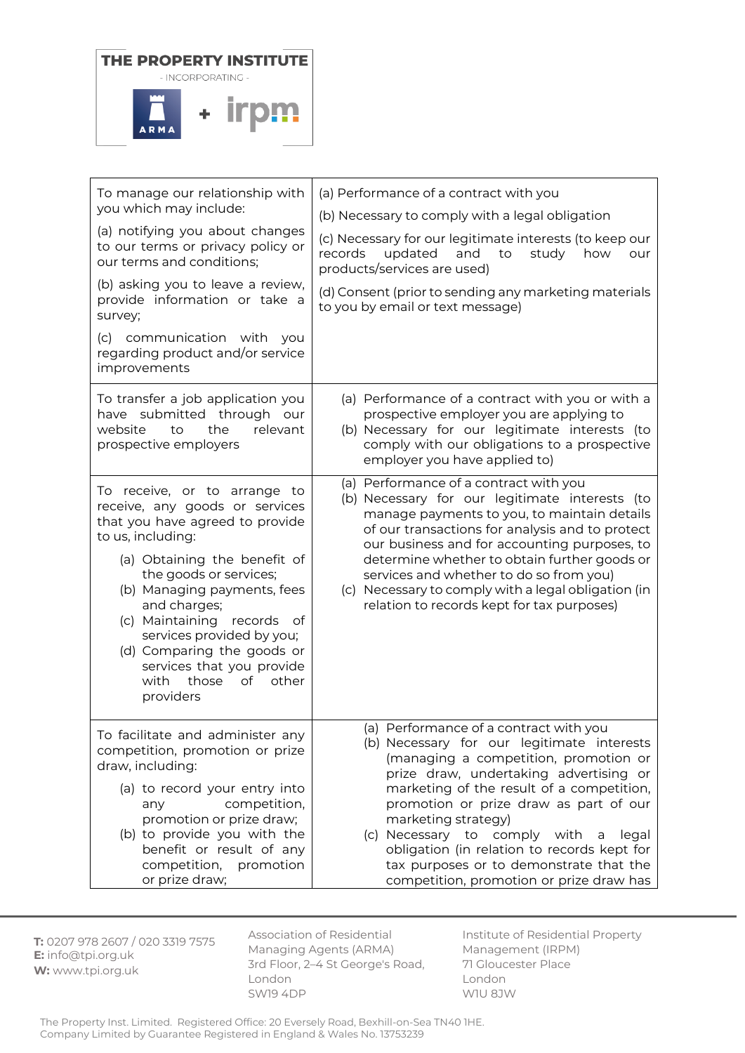

| To manage our relationship with<br>you which may include:<br>(a) notifying you about changes<br>to our terms or privacy policy or<br>our terms and conditions;<br>(b) asking you to leave a review,<br>provide information or take a<br>survey;<br>(c) communication with you<br>regarding product and/or service<br>improvements                                                                  | (a) Performance of a contract with you<br>(b) Necessary to comply with a legal obligation<br>(c) Necessary for our legitimate interests (to keep our<br>updated<br>and<br>records<br>to<br>study<br>how<br>our<br>products/services are used)<br>(d) Consent (prior to sending any marketing materials<br>to you by email or text message)                                                                                                                                |
|----------------------------------------------------------------------------------------------------------------------------------------------------------------------------------------------------------------------------------------------------------------------------------------------------------------------------------------------------------------------------------------------------|---------------------------------------------------------------------------------------------------------------------------------------------------------------------------------------------------------------------------------------------------------------------------------------------------------------------------------------------------------------------------------------------------------------------------------------------------------------------------|
| To transfer a job application you<br>have submitted through our<br>relevant<br>website<br>to<br>the<br>prospective employers                                                                                                                                                                                                                                                                       | (a) Performance of a contract with you or with a<br>prospective employer you are applying to<br>(b) Necessary for our legitimate interests (to<br>comply with our obligations to a prospective<br>employer you have applied to)                                                                                                                                                                                                                                           |
| To receive, or to arrange to<br>receive, any goods or services<br>that you have agreed to provide<br>to us, including:<br>(a) Obtaining the benefit of<br>the goods or services;<br>(b) Managing payments, fees<br>and charges;<br>(c) Maintaining records of<br>services provided by you;<br>(d) Comparing the goods or<br>services that you provide<br>those<br>of<br>other<br>with<br>providers | (a) Performance of a contract with you<br>(b) Necessary for our legitimate interests (to<br>manage payments to you, to maintain details<br>of our transactions for analysis and to protect<br>our business and for accounting purposes, to<br>determine whether to obtain further goods or<br>services and whether to do so from you)<br>(c) Necessary to comply with a legal obligation (in<br>relation to records kept for tax purposes)                                |
| To facilitate and administer any<br>competition, promotion or prize<br>draw, including:<br>(a) to record your entry into<br>competition,<br>any<br>promotion or prize draw;<br>(b) to provide you with the<br>benefit or result of any<br>competition, promotion<br>or prize draw;                                                                                                                 | (a) Performance of a contract with you<br>(b) Necessary for our legitimate interests<br>(managing a competition, promotion or<br>prize draw, undertaking advertising or<br>marketing of the result of a competition,<br>promotion or prize draw as part of our<br>marketing strategy)<br>(c) Necessary to comply with<br>legal<br>a<br>obligation (in relation to records kept for<br>tax purposes or to demonstrate that the<br>competition, promotion or prize draw has |

**T:** 0207 978 2607 / 020 3319 7575 **E:** info@tpi.org.uk **W:** www.tpi.org.uk

Association of Residential Managing Agents (ARMA) 3rd Floor, 2–4 St George's Road, London SW19 4DP

Institute of Residential Property Management (IRPM) 71 Gloucester Place London W1U 8JW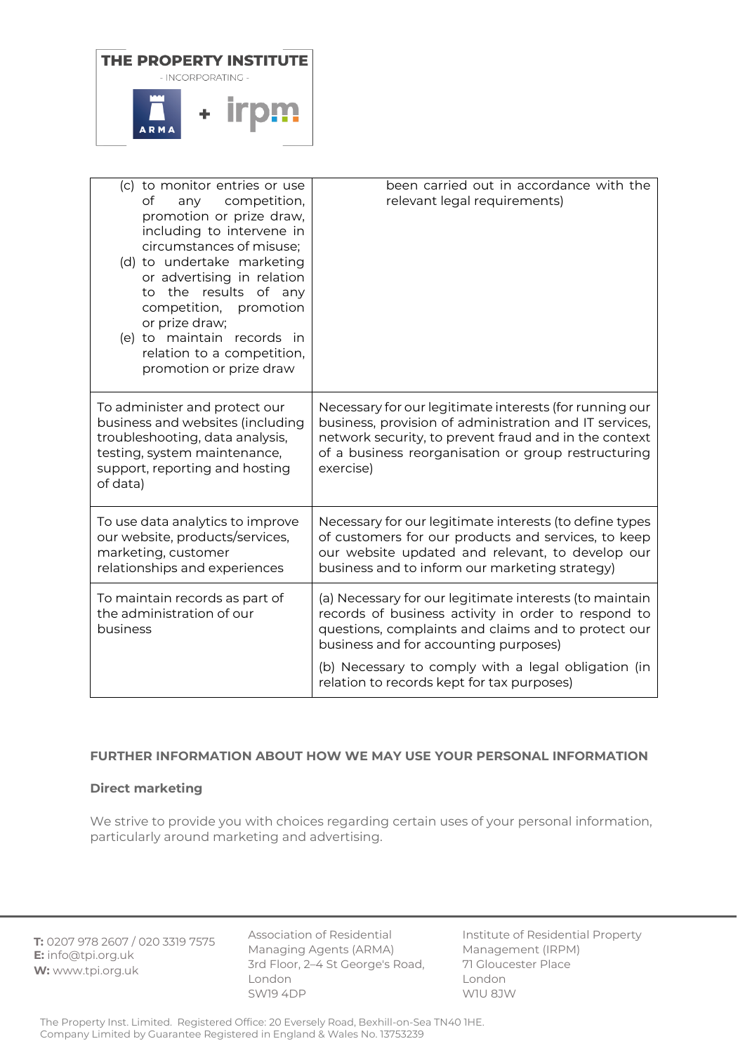

| (c) to monitor entries or use<br>of<br>any competition,<br>promotion or prize draw,<br>including to intervene in<br>circumstances of misuse;<br>(d) to undertake marketing<br>or advertising in relation<br>to the results of any<br>competition, promotion<br>or prize draw;<br>(e) to maintain records in<br>relation to a competition,<br>promotion or prize draw | been carried out in accordance with the<br>relevant legal requirements)                                                                                                                                                                                                                                             |
|----------------------------------------------------------------------------------------------------------------------------------------------------------------------------------------------------------------------------------------------------------------------------------------------------------------------------------------------------------------------|---------------------------------------------------------------------------------------------------------------------------------------------------------------------------------------------------------------------------------------------------------------------------------------------------------------------|
| To administer and protect our<br>business and websites (including<br>troubleshooting, data analysis,<br>testing, system maintenance,<br>support, reporting and hosting<br>of data)                                                                                                                                                                                   | Necessary for our legitimate interests (for running our<br>business, provision of administration and IT services,<br>network security, to prevent fraud and in the context<br>of a business reorganisation or group restructuring<br>exercise)                                                                      |
| To use data analytics to improve<br>our website, products/services,<br>marketing, customer<br>relationships and experiences                                                                                                                                                                                                                                          | Necessary for our legitimate interests (to define types<br>of customers for our products and services, to keep<br>our website updated and relevant, to develop our<br>business and to inform our marketing strategy)                                                                                                |
| To maintain records as part of<br>the administration of our<br>business                                                                                                                                                                                                                                                                                              | (a) Necessary for our legitimate interests (to maintain<br>records of business activity in order to respond to<br>questions, complaints and claims and to protect our<br>business and for accounting purposes)<br>(b) Necessary to comply with a legal obligation (in<br>relation to records kept for tax purposes) |

## **FURTHER INFORMATION ABOUT HOW WE MAY USE YOUR PERSONAL INFORMATION**

## **Direct marketing**

We strive to provide you with choices regarding certain uses of your personal information, particularly around marketing and advertising.

**T:** 0207 978 2607 / 020 3319 7575 **E:** info@tpi.org.uk **W:** www.tpi.org.uk

Association of Residential Managing Agents (ARMA) 3rd Floor, 2–4 St George's Road, London SW19 4DP

Institute of Residential Property Management (IRPM) 71 Gloucester Place London W1U 8JW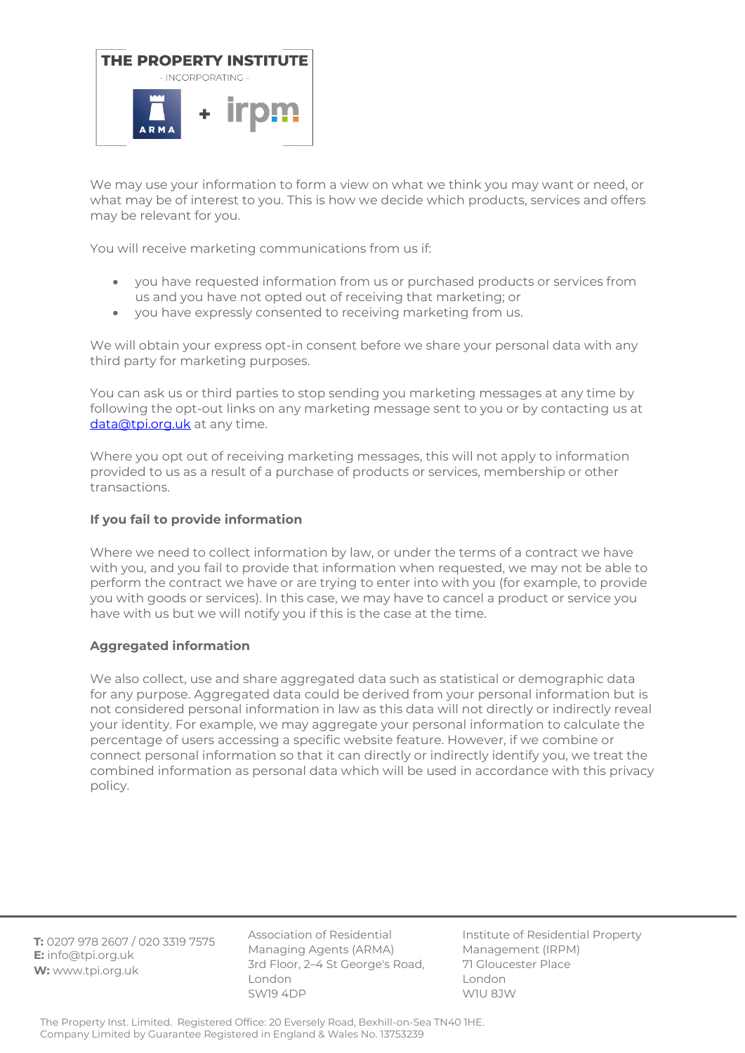

We may use your information to form a view on what we think you may want or need, or what may be of interest to you. This is how we decide which products, services and offers may be relevant for you.

You will receive marketing communications from us if:

- you have requested information from us or purchased products or services from us and you have not opted out of receiving that marketing; or
- you have expressly consented to receiving marketing from us.

We will obtain your express opt-in consent before we share your personal data with any third party for marketing purposes.

You can ask us or third parties to stop sending you marketing messages at any time by following the opt-out links on any marketing message sent to you or by contacting us at [data@tpi.org.uk](mailto:data@tpi.org.uk) at any time.

Where you opt out of receiving marketing messages, this will not apply to information provided to us as a result of a purchase of products or services, membership or other transactions.

## **If you fail to provide information**

Where we need to collect information by law, or under the terms of a contract we have with you, and you fail to provide that information when requested, we may not be able to perform the contract we have or are trying to enter into with you (for example, to provide you with goods or services). In this case, we may have to cancel a product or service you have with us but we will notify you if this is the case at the time.

## **Aggregated information**

We also collect, use and share aggregated data such as statistical or demographic data for any purpose. Aggregated data could be derived from your personal information but is not considered personal information in law as this data will not directly or indirectly reveal your identity. For example, we may aggregate your personal information to calculate the percentage of users accessing a specific website feature. However, if we combine or connect personal information so that it can directly or indirectly identify you, we treat the combined information as personal data which will be used in accordance with this privacy policy.

**T:** 0207 978 2607 / 020 3319 7575 **E:** info@tpi.org.uk **W:** www.tpi.org.uk

Association of Residential Managing Agents (ARMA) 3rd Floor, 2–4 St George's Road, London SW19 4DP

Institute of Residential Property Management (IRPM) 71 Gloucester Place London W1U 8JW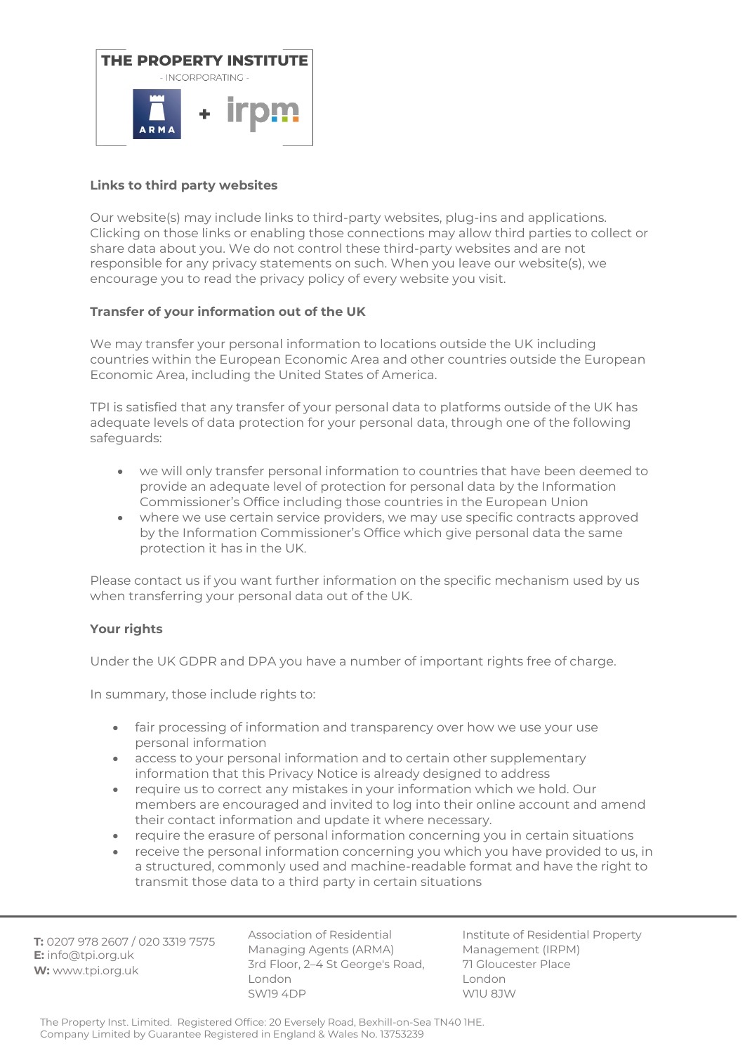

# **Links to third party websites**

Our website(s) may include links to third-party websites, plug-ins and applications. Clicking on those links or enabling those connections may allow third parties to collect or share data about you. We do not control these third-party websites and are not responsible for any privacy statements on such. When you leave our website(s), we encourage you to read the privacy policy of every website you visit.

# **Transfer of your information out of the UK**

We may transfer your personal information to locations outside the UK including countries within the European Economic Area and other countries outside the European Economic Area, including the United States of America.

TPI is satisfied that any transfer of your personal data to platforms outside of the UK has adequate levels of data protection for your personal data, through one of the following safeguards:

- we will only transfer personal information to countries that have been deemed to provide an adequate level of protection for personal data by the Information Commissioner's Office including those countries in the European Union
- where we use certain service providers, we may use specific contracts approved by the Information Commissioner's Office which give personal data the same protection it has in the UK.

Please contact us if you want further information on the specific mechanism used by us when transferring your personal data out of the UK.

## **Your rights**

Under the UK GDPR and DPA you have a number of important rights free of charge.

In summary, those include rights to:

- fair processing of information and transparency over how we use your use personal information
- access to your personal information and to certain other supplementary information that this Privacy Notice is already designed to address
- require us to correct any mistakes in your information which we hold. Our members are encouraged and invited to log into their online account and amend their contact information and update it where necessary.
- require the erasure of personal information concerning you in certain situations
- receive the personal information concerning you which you have provided to us, in a structured, commonly used and machine-readable format and have the right to transmit those data to a third party in certain situations

**T:** 0207 978 2607 / 020 3319 7575 **E:** info@tpi.org.uk **W:** www.tpi.org.uk

Association of Residential Managing Agents (ARMA) 3rd Floor, 2–4 St George's Road, London SW19 4DP

Institute of Residential Property Management (IRPM) 71 Gloucester Place London W1U 8JW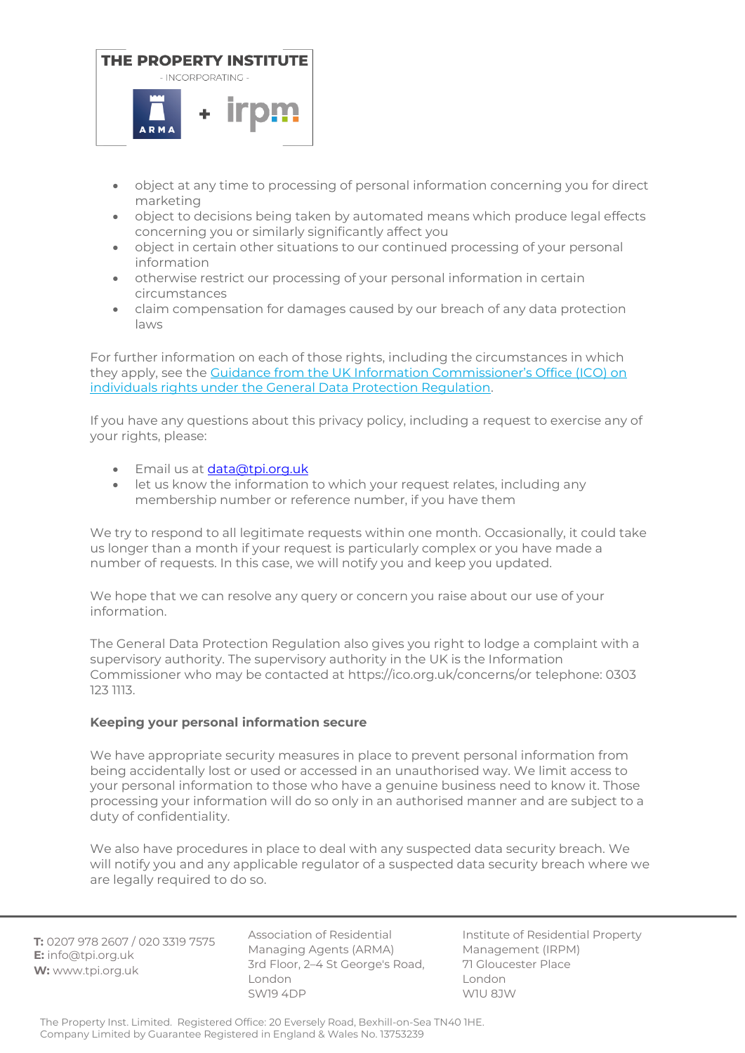

- object at any time to processing of personal information concerning you for direct marketing
- object to decisions being taken by automated means which produce legal effects concerning you or similarly significantly affect you
- object in certain other situations to our continued processing of your personal information
- otherwise restrict our processing of your personal information in certain circumstances
- claim compensation for damages caused by our breach of any data protection laws

For further information on each of those rights, including the circumstances in which they apply, see the [Guidance from the UK Information Commissioner's Office \(IC](https://ico.org.uk/for-organisations/guide-to-the-general-data-protection-regulation-gdpr/individual-rights)O) on [individuals rights under the General Data Protection Regulation.](https://ico.org.uk/for-organisations/guide-to-the-general-data-protection-regulation-gdpr/individual-rights)

If you have any questions about this privacy policy, including a request to exercise any of your rights, please:

- Email us at [data@tpi.org.uk](mailto:data@tpi.org.uk)
- let us know the information to which your request relates, including any membership number or reference number, if you have them

We try to respond to all legitimate requests within one month. Occasionally, it could take us longer than a month if your request is particularly complex or you have made a number of requests. In this case, we will notify you and keep you updated.

We hope that we can resolve any query or concern you raise about our use of your information.

The General Data Protection Regulation also gives you right to lodge a complaint with a supervisory authority. The supervisory authority in the UK is the Information Commissioner who may be contacted at https://ico.org.uk/concerns/or telephone: 0303 123 1113.

## **Keeping your personal information secure**

We have appropriate security measures in place to prevent personal information from being accidentally lost or used or accessed in an unauthorised way. We limit access to your personal information to those who have a genuine business need to know it. Those processing your information will do so only in an authorised manner and are subject to a duty of confidentiality.

We also have procedures in place to deal with any suspected data security breach. We will notify you and any applicable regulator of a suspected data security breach where we are legally required to do so.

**T:** 0207 978 2607 / 020 3319 7575 **E:** info@tpi.org.uk **W:** www.tpi.org.uk

Association of Residential Managing Agents (ARMA) 3rd Floor, 2–4 St George's Road, London SW19 4DP

Institute of Residential Property Management (IRPM) 71 Gloucester Place London W1U 8JW